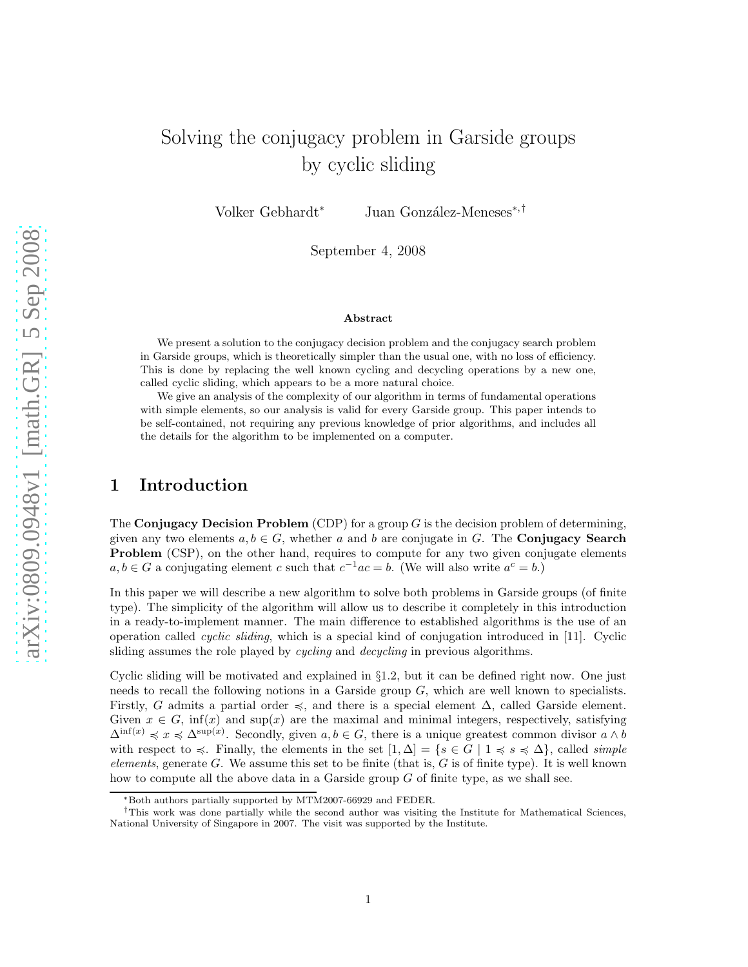# Solving the conjugacy problem in Garside groups by cyclic sliding

Volker Gebhardt<sup>∗</sup> Juan González-Meneses<sup>∗,†</sup>

September 4, 2008

#### Abstract

We present a solution to the conjugacy decision problem and the conjugacy search problem in Garside groups, which is theoretically simpler than the usual one, with no loss of efficiency. This is done by replacing the well known cycling and decycling operations by a new one, called cyclic sliding, which appears to be a more natural choice.

We give an analysis of the complexity of our algorithm in terms of fundamental operations with simple elements, so our analysis is valid for every Garside group. This paper intends to be self-contained, not requiring any previous knowledge of prior algorithms, and includes all the details for the algorithm to be implemented on a computer.

# 1 Introduction

The Conjugacy Decision Problem (CDP) for a group  $G$  is the decision problem of determining, given any two elements  $a, b \in G$ , whether a and b are conjugate in G. The **Conjugacy Search Problem** (CSP), on the other hand, requires to compute for any two given conjugate elements  $a, b \in G$  a conjugating element c such that  $c^{-1}ac = b$ . (We will also write  $a^c = b$ .)

In this paper we will describe a new algorithm to solve both problems in Garside groups (of finite type). The simplicity of the algorithm will allow us to describe it completely in this introduction in a ready-to-implement manner. The main difference to established algorithms is the use of an operation called *cyclic sliding*, which is a special kind of conjugation introduced in [11]. Cyclic sliding assumes the role played by *cycling* and *decycling* in previous algorithms.

Cyclic sliding will be motivated and explained in §1.2, but it can be defined right now. One just needs to recall the following notions in a Garside group G, which are well known to specialists. Firstly, G admits a partial order  $\preccurlyeq$ , and there is a special element  $\Delta$ , called Garside element. Given  $x \in G$ , inf(x) and sup(x) are the maximal and minimal integers, respectively, satisfying  $\Delta^{\inf(x)} \preccurlyeq x \preccurlyeq \Delta^{\sup(x)}$ . Secondly, given  $a, b \in G$ , there is a unique greatest common divisor  $a \wedge b$ with respect to  $\leq$ . Finally, the elements in the set  $[1, \Delta] = \{s \in G \mid 1 \leq s \leq \Delta\}$ , called *simple elements*, generate G. We assume this set to be finite (that is, G is of finite type). It is well known how to compute all the above data in a Garside group  $G$  of finite type, as we shall see.

<sup>∗</sup>Both authors partially supported by MTM2007-66929 and FEDER.

<sup>†</sup>This work was done partially while the second author was visiting the Institute for Mathematical Sciences, National University of Singapore in 2007. The visit was supported by the Institute.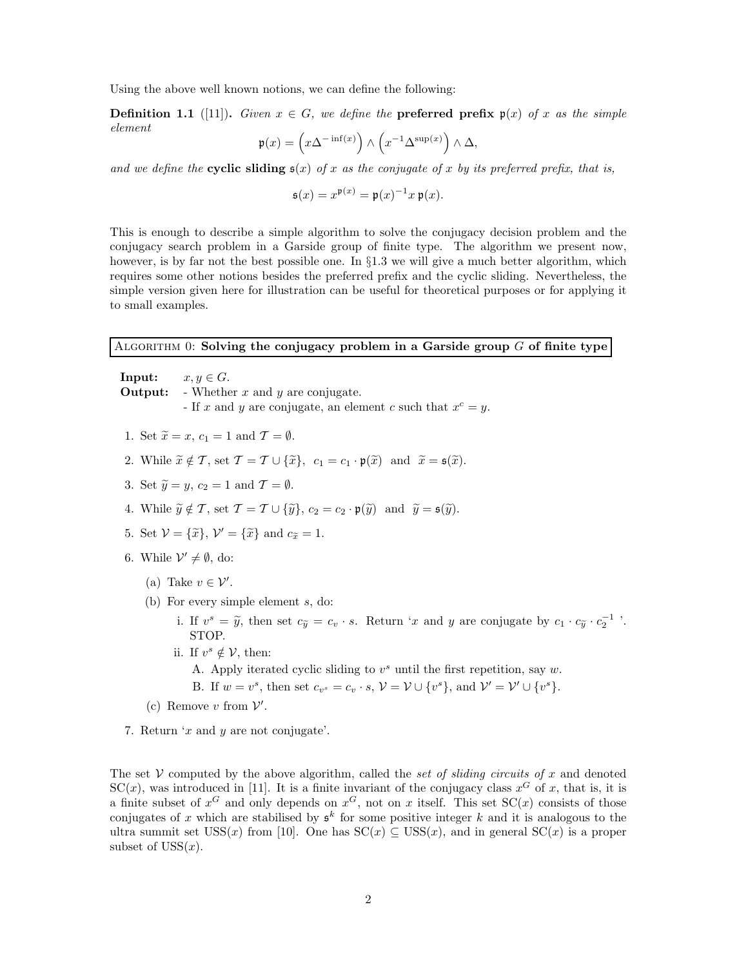Using the above well known notions, we can define the following:

**Definition 1.1** ([11]). *Given*  $x \in G$ *, we define the* **preferred prefix**  $\mathfrak{p}(x)$  *of* x *as the simple element*

$$
\mathfrak{p}(x) = \left(x\Delta^{-\inf(x)}\right) \wedge \left(x^{-1}\Delta^{\sup(x)}\right) \wedge \Delta,
$$

and we define the **cyclic sliding**  $s(x)$  of x as the conjugate of x by its preferred prefix, that is,

$$
\mathfrak{s}(x) = x^{\mathfrak{p}(x)} = \mathfrak{p}(x)^{-1}x \,\mathfrak{p}(x).
$$

This is enough to describe a simple algorithm to solve the conjugacy decision problem and the conjugacy search problem in a Garside group of finite type. The algorithm we present now, however, is by far not the best possible one. In §1.3 we will give a much better algorithm, which requires some other notions besides the preferred prefix and the cyclic sliding. Nevertheless, the simple version given here for illustration can be useful for theoretical purposes or for applying it to small examples.

### ALGORITHM  $0:$  Solving the conjugacy problem in a Garside group  $G$  of finite type

**Input:**  $x, y \in G$ . **Output:** - Whether x and y are conjugate. If x and y are conjugate, an element c such that  $x^c = y$ .

- 1. Set  $\widetilde{x} = x$ ,  $c_1 = 1$  and  $\mathcal{T} = \emptyset$ .
- 2. While  $\widetilde{x} \notin \mathcal{T}$ , set  $\mathcal{T} = \mathcal{T} \cup {\widetilde{x}}$ ,  $c_1 = c_1 \cdot \mathfrak{p}(\widetilde{x})$  and  $\widetilde{x} = \mathfrak{s}(\widetilde{x})$ .
- 3. Set  $\widetilde{y} = y$ ,  $c_2 = 1$  and  $\mathcal{T} = \emptyset$ .
- 4. While  $\widetilde{y} \notin \mathcal{T}$ , set  $\mathcal{T} = \mathcal{T} \cup {\widetilde{\{y\}}}$ ,  $c_2 = c_2 \cdot \mathfrak{p}(\widetilde{y})$  and  $\widetilde{y} = \mathfrak{s}(\widetilde{y})$ .
- 5. Set  $V = {\tilde{x}}$ ,  $V' = {\tilde{x}}$  and  $c_{\tilde{x}} = 1$ .
- 6. While  $\mathcal{V}' \neq \emptyset$ , do:
	- (a) Take  $v \in \mathcal{V}'$ .
	- (b) For every simple element s, do:

i. If  $v^s = \tilde{y}$ , then set  $c_{\tilde{y}} = c_v \cdot s$ . Return 'x and y are conjugate by  $c_1 \cdot c_{\tilde{y}} \cdot c_2^{-1}$ '. STOP.

ii. If  $v^s \notin V$ , then:

A. Apply iterated cyclic sliding to  $v^s$  until the first repetition, say  $w$ . B. If  $w = v^s$ , then set  $c_{v^s} = c_v \cdot s$ ,  $\mathcal{V} = \mathcal{V} \cup \{v^s\}$ , and  $\mathcal{V}' = \mathcal{V}' \cup \{v^s\}$ .

- (c) Remove  $v$  from  $V'$ .
- 7. Return 'x and y are not conjugate'.

The set  $V$  computed by the above algorithm, called the *set of sliding circuits of* x and denoted  $SC(x)$ , was introduced in [11]. It is a finite invariant of the conjugacy class  $x^G$  of x, that is, it is a finite subset of  $x^G$  and only depends on  $x^G$ , not on x itself. This set  $SC(x)$  consists of those conjugates of x which are stabilised by  $\mathfrak{s}^k$  for some positive integer k and it is analogous to the ultra summit set  $USS(x)$  from [10]. One has  $SC(x) \subseteq USS(x)$ , and in general  $SC(x)$  is a proper subset of  $USS(x)$ .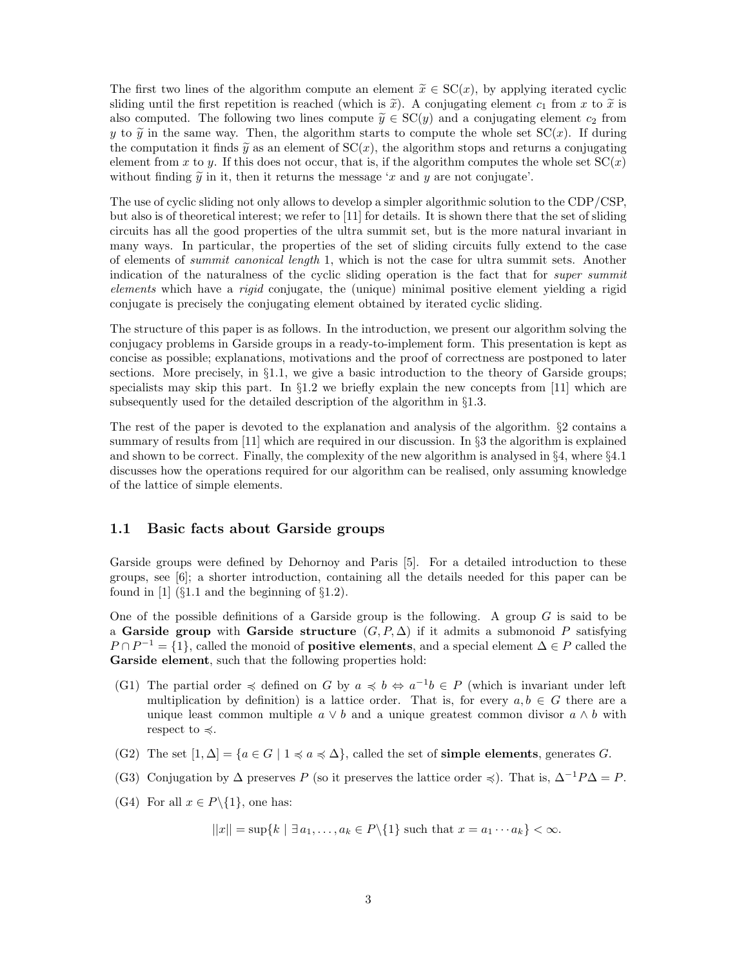The first two lines of the algorithm compute an element  $\tilde{x} \in \mathcal{SC}(x)$ , by applying iterated cyclic sliding until the first repetition is reached (which is  $\tilde{x}$ ). A conjugating element  $c_1$  from x to  $\tilde{x}$  is also computed. The following two lines compute  $\widetilde{y} \in SC(y)$  and a conjugating element  $c_2$  from y to  $\tilde{y}$  in the same way. Then, the algorithm starts to compute the whole set  $SC(x)$ . If during the computation it finds  $\tilde{y}$  as an element of  $SC(x)$ , the algorithm stops and returns a conjugating element from x to y. If this does not occur, that is, if the algorithm computes the whole set  $SC(x)$ without finding  $\tilde{y}$  in it, then it returns the message 'x and y are not conjugate'.

The use of cyclic sliding not only allows to develop a simpler algorithmic solution to the CDP/CSP, but also is of theoretical interest; we refer to [11] for details. It is shown there that the set of sliding circuits has all the good properties of the ultra summit set, but is the more natural invariant in many ways. In particular, the properties of the set of sliding circuits fully extend to the case of elements of *summit canonical length* 1, which is not the case for ultra summit sets. Another indication of the naturalness of the cyclic sliding operation is the fact that for *super summit elements* which have a *rigid* conjugate, the (unique) minimal positive element yielding a rigid conjugate is precisely the conjugating element obtained by iterated cyclic sliding.

The structure of this paper is as follows. In the introduction, we present our algorithm solving the conjugacy problems in Garside groups in a ready-to-implement form. This presentation is kept as concise as possible; explanations, motivations and the proof of correctness are postponed to later sections. More precisely, in  $\S1.1$ , we give a basic introduction to the theory of Garside groups; specialists may skip this part. In §1.2 we briefly explain the new concepts from [11] which are subsequently used for the detailed description of the algorithm in §1.3.

The rest of the paper is devoted to the explanation and analysis of the algorithm. §2 contains a summary of results from [11] which are required in our discussion. In §3 the algorithm is explained and shown to be correct. Finally, the complexity of the new algorithm is analysed in §4, where §4.1 discusses how the operations required for our algorithm can be realised, only assuming knowledge of the lattice of simple elements.

### 1.1 Basic facts about Garside groups

Garside groups were defined by Dehornoy and Paris [5]. For a detailed introduction to these groups, see [6]; a shorter introduction, containing all the details needed for this paper can be found in [1] ( $\S 1.1$  and the beginning of  $\S 1.2$ ).

One of the possible definitions of a Garside group is the following. A group  $G$  is said to be a Garside group with Garside structure  $(G, P, \Delta)$  if it admits a submonoid P satisfying  $P \cap P^{-1} = \{1\}$ , called the monoid of **positive elements**, and a special element  $\Delta \in P$  called the Garside element, such that the following properties hold:

- (G1) The partial order  $\preccurlyeq$  defined on G by  $a \preccurlyeq b \Leftrightarrow a^{-1}b \in P$  (which is invariant under left multiplication by definition) is a lattice order. That is, for every  $a, b \in G$  there are a unique least common multiple  $a \vee b$  and a unique greatest common divisor  $a \wedge b$  with respect to  $\preccurlyeq$ .
- (G2) The set  $[1, \Delta] = \{a \in G \mid 1 \le a \le \Delta\}$ , called the set of **simple elements**, generates G.
- (G3) Conjugation by  $\Delta$  preserves P (so it preserves the lattice order  $\preccurlyeq$ ). That is,  $\Delta^{-1}P\Delta = P$ .
- (G4) For all  $x \in P \setminus \{1\}$ , one has:

$$
||x|| = \sup\{k \mid \exists a_1, \dots, a_k \in P\setminus\{1\} \text{ such that } x = a_1 \cdots a_k\} < \infty.
$$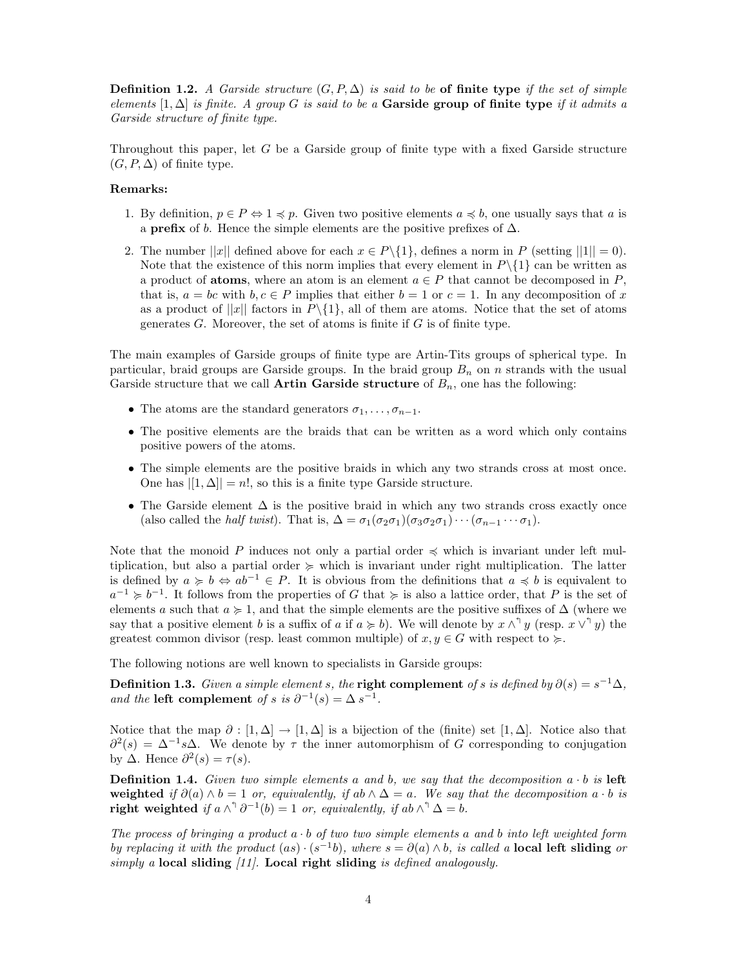**Definition 1.2.** *A Garside structure*  $(G, P, \Delta)$  *is said to be* of finite type *if the set of simple elements* [1, ∆] *is finite. A group* G *is said to be a* Garside group of finite type *if it admits a Garside structure of finite type.*

Throughout this paper, let G be a Garside group of finite type with a fixed Garside structure  $(G, P, \Delta)$  of finite type.

#### Remarks:

- 1. By definition,  $p \in P \Leftrightarrow 1 \leq p$ . Given two positive elements  $a \leq b$ , one usually says that a is a **prefix** of b. Hence the simple elements are the positive prefixes of  $\Delta$ .
- 2. The number  $||x||$  defined above for each  $x \in P \setminus \{1\}$ , defines a norm in P (setting  $||1|| = 0$ ). Note that the existence of this norm implies that every element in  $P\setminus\{1\}$  can be written as a product of **atoms**, where an atom is an element  $a \in P$  that cannot be decomposed in P, that is,  $a = bc$  with  $b, c \in P$  implies that either  $b = 1$  or  $c = 1$ . In any decomposition of x as a product of  $||x||$  factors in  $P\setminus\{1\}$ , all of them are atoms. Notice that the set of atoms generates  $G$ . Moreover, the set of atoms is finite if  $G$  is of finite type.

The main examples of Garside groups of finite type are Artin-Tits groups of spherical type. In particular, braid groups are Garside groups. In the braid group  $B_n$  on n strands with the usual Garside structure that we call **Artin Garside structure** of  $B_n$ , one has the following:

- The atoms are the standard generators  $\sigma_1, \ldots, \sigma_{n-1}$ .
- The positive elements are the braids that can be written as a word which only contains positive powers of the atoms.
- The simple elements are the positive braids in which any two strands cross at most once. One has  $|[1, \Delta]| = n!$ , so this is a finite type Garside structure.
- The Garside element  $\Delta$  is the positive braid in which any two strands cross exactly once (also called the *half twist*). That is,  $\Delta = \sigma_1(\sigma_2\sigma_1)(\sigma_3\sigma_2\sigma_1)\cdots(\sigma_{n-1}\cdots\sigma_1)$ .

Note that the monoid P induces not only a partial order  $\preccurlyeq$  which is invariant under left multiplication, but also a partial order  $\succeq$  which is invariant under right multiplication. The latter is defined by  $a \geq b \Leftrightarrow ab^{-1} \in P$ . It is obvious from the definitions that  $a \preccurlyeq b$  is equivalent to  $a^{-1} \geq b^{-1}$ . It follows from the properties of G that  $\succeq$  is also a lattice order, that P is the set of elements a such that  $a \ge 1$ , and that the simple elements are the positive suffixes of  $\Delta$  (where we say that a positive element b is a suffix of a if  $a \ge b$ ). We will denote by  $x \wedge^{\uparrow} y$  (resp.  $x \vee^{\uparrow} y$ ) the greatest common divisor (resp. least common multiple) of  $x, y \in G$  with respect to  $\succcurlyeq$ .

The following notions are well known to specialists in Garside groups:

Definition 1.3. *Given a simple element* s, the **right complement** of s is defined by  $\partial(s) = s^{-1}\Delta$ , *and the* left complement *of* s *is*  $\partial^{-1}(s) = \Delta s^{-1}$ .

Notice that the map  $\partial : [1, \Delta] \to [1, \Delta]$  is a bijection of the (finite) set  $[1, \Delta]$ . Notice also that  $\partial^2(s) = \Delta^{-1}s\Delta$ . We denote by  $\tau$  the inner automorphism of G corresponding to conjugation by  $\Delta$ . Hence  $\partial^2(s) = \tau(s)$ .

**Definition 1.4.** Given two simple elements a and b, we say that the decomposition  $a \cdot b$  is left weighted *if*  $\partial(a) \wedge b = 1$  *or, equivalently, if*  $ab \wedge \Delta = a$ *. We say that the decomposition*  $a \cdot b$  *is* right weighted if  $a \wedge^{\uparrow} \partial^{-1}(b) = 1$  or, equivalently, if  $ab \wedge^{\uparrow} \Delta = b$ .

*The process of bringing a product* a · b *of two two simple elements* a *and* b *into left weighted form by replacing it with the product*  $(as) \cdot (s^{-1}b)$ *, where*  $s = \partial(a) \wedge b$ *, is called a* **local left sliding** *or simply a* local sliding *[11].* Local right sliding *is defined analogously.*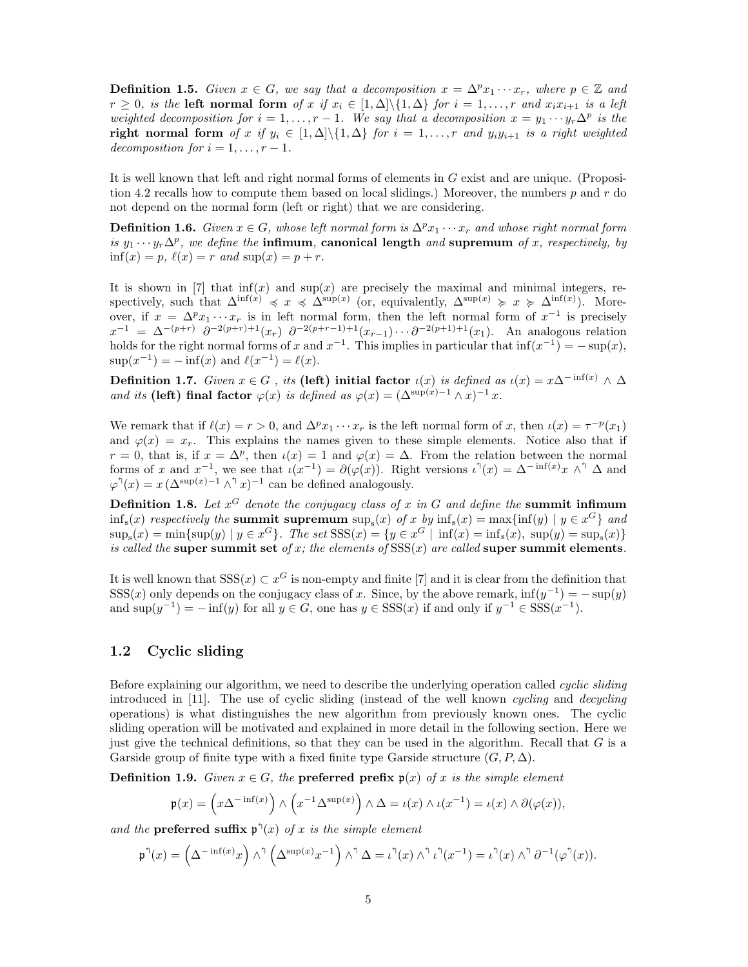**Definition 1.5.** *Given*  $x \in G$ *, we say that a decomposition*  $x = \Delta^p x_1 \cdots x_r$ *, where*  $p \in \mathbb{Z}$  *and*  $r \geq 0$ , is the **left normal form** of x if  $x_i \in [1, \Delta] \setminus \{1, \Delta\}$  for  $i = 1, \ldots, r$  and  $x_i x_{i+1}$  is a left *weighted decomposition for*  $i = 1, ..., r - 1$ . We say that a decomposition  $x = y_1 \cdots y_r \Delta^p$  is the right normal form *of* x if  $y_i \in [1, \Delta] \setminus \{1, \Delta\}$  for  $i = 1, \ldots, r$  and  $y_i y_{i+1}$  is a right weighted *decomposition for*  $i = 1, \ldots, r - 1$ *.* 

It is well known that left and right normal forms of elements in G exist and are unique. (Proposition 4.2 recalls how to compute them based on local slidings.) Moreover, the numbers  $p$  and  $r$  do not depend on the normal form (left or right) that we are considering.

**Definition 1.6.** *Given*  $x \in G$ *, whose left normal form is*  $\Delta^p x_1 \cdots x_r$  *and whose right normal form is*  $y_1 \cdots y_r \Delta^p$ , we define the **infimum**, **canonical length** and **supremum** of x, respectively, by  $\inf(x) = p, \ell(x) = r \text{ and } \sup(x) = p + r.$ 

It is shown in [7] that  $\inf(x)$  and  $\sup(x)$  are precisely the maximal and minimal integers, respectively, such that  $\Delta^{\inf(x)} \preccurlyeq x \preccurlyeq \Delta^{\sup(x)}$  (or, equivalently,  $\Delta^{\sup(x)} \succcurlyeq x \succcurlyeq \Delta^{\inf(x)}$ ). Moreover, if  $x = \Delta^p x_1 \cdots x_r$  is in left normal form, then the left normal form of  $x^{-1}$  is precisely  $x^{-1} = \Delta^{-(p+r)} \partial^{-2(p+r)+1}(x_r) \partial^{-2(p+r-1)+1}(x_{r-1}) \cdots \partial^{-2(p+1)+1}(x_1)$ . An analogous relation holds for the right normal forms of x and  $x^{-1}$ . This implies in particular that  $\inf(x^{-1}) = -\sup(x)$ ,  $\sup(x^{-1}) = -\inf(x)$  and  $\ell(x^{-1}) = \ell(x)$ .

**Definition 1.7.** *Given*  $x \in G$ , *its* (left) initial factor  $\iota(x)$  *is defined as*  $\iota(x) = x\Delta^{-\inf(x)} \wedge \Delta$ *and its* (left) final factor  $\varphi(x)$  *is defined as*  $\varphi(x) = (\Delta^{\sup(x)-1} \wedge x)^{-1} x$ *.* 

We remark that if  $\ell(x) = r > 0$ , and  $\Delta^p x_1 \cdots x_r$  is the left normal form of x, then  $\iota(x) = \tau^{-p}(x_1)$ and  $\varphi(x) = x_r$ . This explains the names given to these simple elements. Notice also that if  $r = 0$ , that is, if  $x = \Delta^p$ , then  $\iota(x) = 1$  and  $\varphi(x) = \Delta$ . From the relation between the normal forms of x and  $x^{-1}$ , we see that  $\iota(x^{-1}) = \partial(\varphi(x))$ . Right versions  $\iota^{\eta}(x) = \Delta^{-\inf(x)}x \wedge^{\eta} \Delta$  and  $\varphi^{\uparrow}(x) = x \left( \Delta^{\sup(x)-1} \wedge^{\uparrow} x \right)^{-1}$  can be defined analogously.

Definition 1.8. Let  $x^G$  denote the conjugacy class of x in G and define the summit infimum  $\inf_s(x)$  *respectively the* summit supremum  $\sup_s(x)$  *of* x *by*  $\inf_s(x) = \max\{\inf(y) \mid y \in x^G\}$  *and*  $\sup_{s}(x) = \min\{\sup(y) \mid y \in x^G\}$ . The set  $SSS(x) = \{y \in x^G \mid \inf(x) = \inf_{s}(x), \sup(y) = \sup_{s}(x)\}\$ *is called the* super summit set *of* x; the elements of  $SSS(x)$  are called super summit elements.

It is well known that  $SSS(x) \subset x^G$  is non-empty and finite [7] and it is clear from the definition that SSS(x) only depends on the conjugacy class of x. Since, by the above remark,  $\inf(y^{-1}) = -\sup(y)$ and  $\sup(y^{-1}) = -\inf(y)$  for all  $y \in G$ , one has  $y \in \text{SSS}(x)$  if and only if  $y^{-1} \in \text{SSS}(x^{-1})$ .

## 1.2 Cyclic sliding

Before explaining our algorithm, we need to describe the underlying operation called *cyclic sliding* introduced in [11]. The use of cyclic sliding (instead of the well known *cycling* and *decycling* operations) is what distinguishes the new algorithm from previously known ones. The cyclic sliding operation will be motivated and explained in more detail in the following section. Here we just give the technical definitions, so that they can be used in the algorithm. Recall that  $G$  is a Garside group of finite type with a fixed finite type Garside structure  $(G, P, \Delta)$ .

**Definition 1.9.** *Given*  $x \in G$ *, the* **preferred prefix**  $\mathfrak{p}(x)$  *of* x *is the simple element* 

$$
\mathfrak{p}(x) = \left(x\Delta^{-\inf(x)}\right) \wedge \left(x^{-1}\Delta^{\sup(x)}\right) \wedge \Delta = \iota(x) \wedge \iota(x^{-1}) = \iota(x) \wedge \partial(\varphi(x)),
$$

and the **preferred suffix**  $\mathfrak{p}^{\uparrow}(x)$  *of* x *is the simple element* 

$$
\mathfrak{p}^{\uparrow}(x)=\left(\Delta^{-\inf(x)}x\right)\wedge^{\uparrow}\left(\Delta^{\sup(x)}x^{-1}\right)\wedge^{\uparrow}\Delta=\iota^{\uparrow}(x)\wedge^{\uparrow}\iota^{\uparrow}(x^{-1})=\iota^{\uparrow}(x)\wedge^{\uparrow}\partial^{-1}(\varphi^{\uparrow}(x)).
$$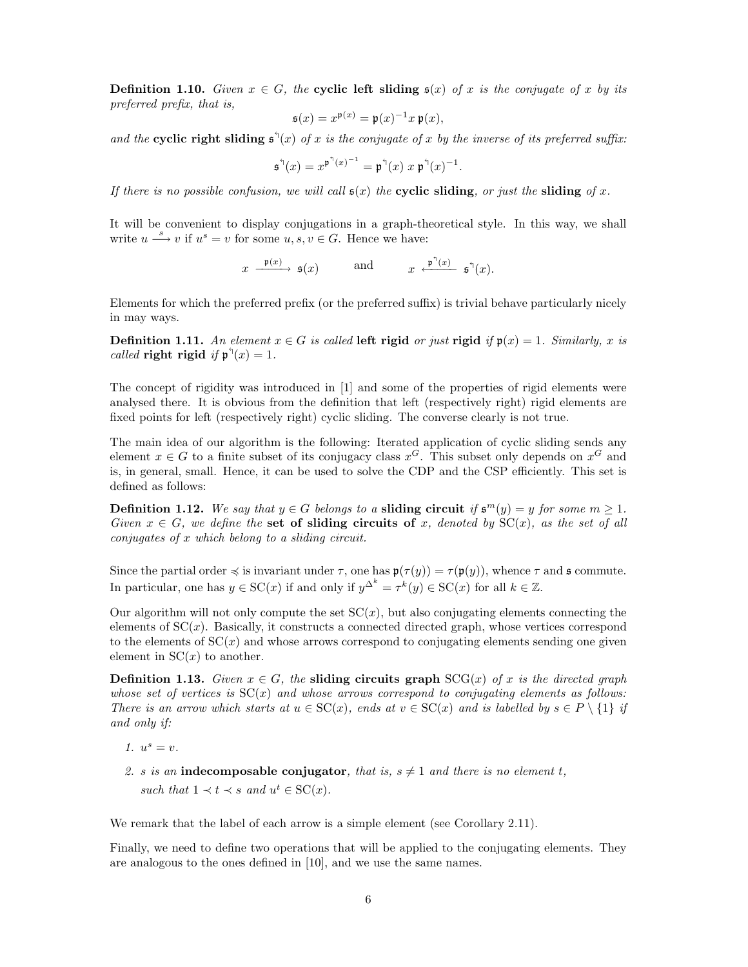**Definition 1.10.** *Given*  $x \in G$ *, the* **cyclic left sliding**  $s(x)$  *of* x *is the conjugate of* x *by its preferred prefix, that is,*

$$
\mathfrak{s}(x) = x^{\mathfrak{p}(x)} = \mathfrak{p}(x)^{-1}x \,\mathfrak{p}(x),
$$

and the **cyclic right sliding**  $\mathfrak{s}^{\mathfrak{h}}(x)$  *of* x *is the conjugate of* x *by the inverse of its preferred suffix:* 

$$
\mathfrak{s}^{\mathfrak{h}}(x) = x^{\mathfrak{p}^{\mathfrak{h}}(x)^{-1}} = \mathfrak{p}^{\mathfrak{h}}(x) x \mathfrak{p}^{\mathfrak{h}}(x)^{-1}.
$$

*If there is no possible confusion, we will call*  $\mathfrak{s}(x)$  *the* cyclic sliding*, or just the* sliding *of* x.

It will be convenient to display conjugations in a graph-theoretical style. In this way, we shall write  $u \stackrel{s}{\longrightarrow} v$  if  $u^s = v$  for some  $u, s, v \in G$ . Hence we have:

$$
x \xrightarrow{\mathfrak{p}(x)} \mathfrak{s}(x)
$$
 and  $x \xleftarrow{\mathfrak{p}^{\uparrow}(x)} \mathfrak{s}^{\uparrow}(x)$ .

Elements for which the preferred prefix (or the preferred suffix) is trivial behave particularly nicely in may ways.

Definition 1.11. An element  $x \in G$  is called left rigid or just rigid if  $\mathfrak{p}(x) = 1$ . Similarly, x is *called* **right** rigid *if*  $\mathfrak{p}^{\dagger}(x) = 1$ *.* 

The concept of rigidity was introduced in [1] and some of the properties of rigid elements were analysed there. It is obvious from the definition that left (respectively right) rigid elements are fixed points for left (respectively right) cyclic sliding. The converse clearly is not true.

The main idea of our algorithm is the following: Iterated application of cyclic sliding sends any element  $x \in G$  to a finite subset of its conjugacy class  $x^G$ . This subset only depends on  $x^G$  and is, in general, small. Hence, it can be used to solve the CDP and the CSP efficiently. This set is defined as follows:

Definition 1.12. We say that  $y \in G$  belongs to a sliding circuit if  $\mathfrak{s}^m(y) = y$  for some  $m \geq 1$ . *Given*  $x \in G$ *, we define the* set of sliding circuits of x, denoted by  $SC(x)$ *, as the set of all conjugates of* x *which belong to a sliding circuit.*

Since the partial order  $\preccurlyeq$  is invariant under  $\tau$ , one has  $\mathfrak{p}(\tau(y)) = \tau(\mathfrak{p}(y))$ , whence  $\tau$  and  $\mathfrak{s}$  commute. In particular, one has  $y \in SC(x)$  if and only if  $y^{\Delta^k} = \tau^k(y) \in SC(x)$  for all  $k \in \mathbb{Z}$ .

Our algorithm will not only compute the set  $SC(x)$ , but also conjugating elements connecting the elements of  $SC(x)$ . Basically, it constructs a connected directed graph, whose vertices correspond to the elements of  $SC(x)$  and whose arrows correspond to conjugating elements sending one given element in  $SC(x)$  to another.

**Definition 1.13.** *Given*  $x \in G$ *, the* **sliding circuits graph**  $SCG(x)$  *of* x *is the directed graph whose set of vertices is*  $SC(x)$  *and whose arrows correspond to conjugating elements as follows: There is an arrow which starts at*  $u \in SC(x)$ *, ends at*  $v \in SC(x)$  *and is labelled by*  $s \in P \setminus \{1\}$  *if and only if:*

- *1.*  $u^s = v$ .
- 2. s is an **indecomposable conjugator**, that is,  $s \neq 1$  and there is no element t, such that  $1 \prec t \prec s$  and  $u^t \in SC(x)$ .

We remark that the label of each arrow is a simple element (see Corollary 2.11).

Finally, we need to define two operations that will be applied to the conjugating elements. They are analogous to the ones defined in [10], and we use the same names.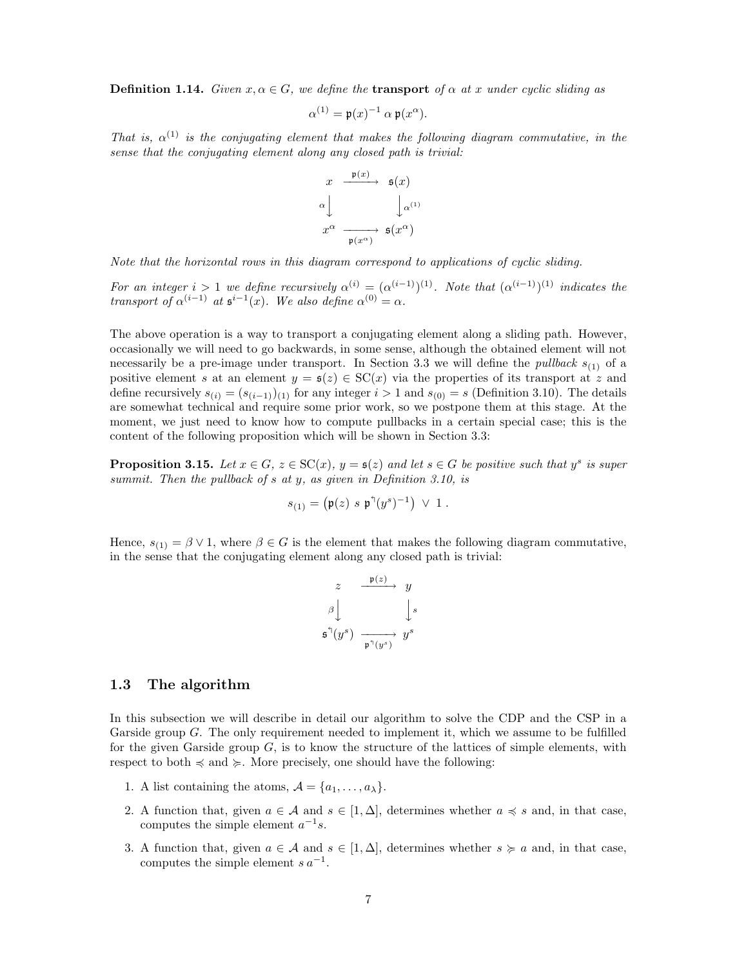**Definition 1.14.** *Given*  $x, \alpha \in G$ *, we define the* **transport** *of*  $\alpha$  *at* x *under cyclic sliding as* 

$$
\alpha^{(1)} = \mathfrak{p}(x)^{-1} \alpha \mathfrak{p}(x^{\alpha}).
$$

*That is,*  $\alpha^{(1)}$  *is the conjugating element that makes the following diagram commutative, in the sense that the conjugating element along any closed path is trivial:*



*Note that the horizontal rows in this diagram correspond to applications of cyclic sliding.*

*For an integer*  $i > 1$  *we define recursively*  $\alpha^{(i)} = (\alpha^{(i-1)})^{(1)}$ *. Note that*  $(\alpha^{(i-1)})^{(1)}$  *indicates the transport of*  $\alpha^{(i-1)}$  *at*  $\mathfrak{s}^{i-1}(x)$ *. We also define*  $\alpha^{(0)} = \alpha$ *.* 

The above operation is a way to transport a conjugating element along a sliding path. However, occasionally we will need to go backwards, in some sense, although the obtained element will not necessarily be a pre-image under transport. In Section 3.3 we will define the *pullback*  $s_{(1)}$  of a positive element s at an element  $y = \mathfrak{s}(z) \in SC(x)$  via the properties of its transport at z and define recursively  $s_{(i)} = (s_{(i-1)})_{(1)}$  for any integer  $i > 1$  and  $s_{(0)} = s$  (Definition 3.10). The details are somewhat technical and require some prior work, so we postpone them at this stage. At the moment, we just need to know how to compute pullbacks in a certain special case; this is the content of the following proposition which will be shown in Section 3.3:

**Proposition 3.15.** Let  $x \in G$ ,  $z \in SC(x)$ ,  $y = s(z)$  and let  $s \in G$  be positive such that  $y^s$  is super *summit. Then the pullback of* s *at* y*, as given in Definition 3.10, is*

$$
s_{(1)} = (\mathfrak{p}(z) \ s \ \mathfrak{p}^{\mathfrak{h}}(y^s)^{-1}) \ \vee \ 1 \ .
$$

Hence,  $s_{(1)} = \beta \vee 1$ , where  $\beta \in G$  is the element that makes the following diagram commutative, in the sense that the conjugating element along any closed path is trivial:

$$
z \xrightarrow{\mathfrak{p}(z)} y
$$
  

$$
\beta \downarrow \qquad \qquad \downarrow s
$$
  

$$
\mathfrak{s}^{\uparrow}(y^{s}) \xrightarrow{\mathfrak{p}^{\uparrow}(y^{s})} y^{s}
$$

## 1.3 The algorithm

In this subsection we will describe in detail our algorithm to solve the CDP and the CSP in a Garside group G. The only requirement needed to implement it, which we assume to be fulfilled for the given Garside group  $G$ , is to know the structure of the lattices of simple elements, with respect to both  $\preccurlyeq$  and  $\succeq$ . More precisely, one should have the following:

- 1. A list containing the atoms,  $\mathcal{A} = \{a_1, \ldots, a_{\lambda}\}.$
- 2. A function that, given  $a \in \mathcal{A}$  and  $s \in [1, \Delta]$ , determines whether  $a \preccurlyeq s$  and, in that case, computes the simple element  $a^{-1}s$ .
- 3. A function that, given  $a \in \mathcal{A}$  and  $s \in [1, \Delta]$ , determines whether  $s \geq a$  and, in that case, computes the simple element  $s a^{-1}$ .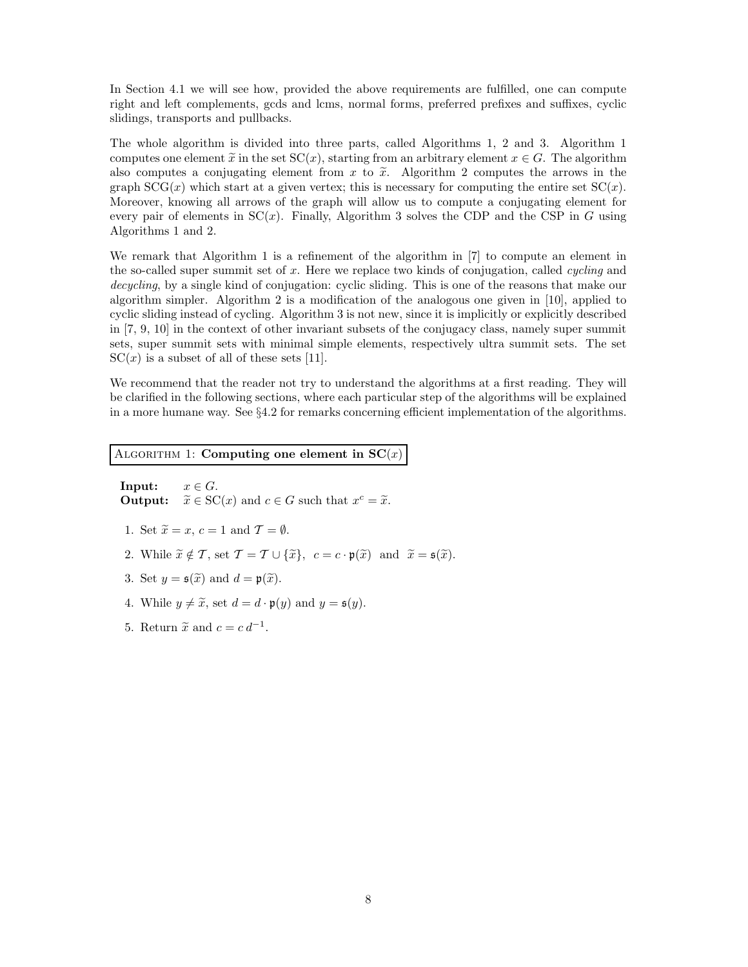In Section 4.1 we will see how, provided the above requirements are fulfilled, one can compute right and left complements, gcds and lcms, normal forms, preferred prefixes and suffixes, cyclic slidings, transports and pullbacks.

The whole algorithm is divided into three parts, called Algorithms 1, 2 and 3. Algorithm 1 computes one element  $\tilde{x}$  in the set  $\mathcal{SC}(x)$ , starting from an arbitrary element  $x \in G$ . The algorithm also computes a conjugating element from  $x$  to  $\tilde{x}$ . Algorithm 2 computes the arrows in the graph  $SCG(x)$  which start at a given vertex; this is necessary for computing the entire set  $SC(x)$ . Moreover, knowing all arrows of the graph will allow us to compute a conjugating element for every pair of elements in  $SC(x)$ . Finally, Algorithm 3 solves the CDP and the CSP in G using Algorithms 1 and 2.

We remark that Algorithm 1 is a refinement of the algorithm in [7] to compute an element in the so-called super summit set of x. Here we replace two kinds of conjugation, called *cycling* and *decycling*, by a single kind of conjugation: cyclic sliding. This is one of the reasons that make our algorithm simpler. Algorithm 2 is a modification of the analogous one given in [10], applied to cyclic sliding instead of cycling. Algorithm 3 is not new, since it is implicitly or explicitly described in [7, 9, 10] in the context of other invariant subsets of the conjugacy class, namely super summit sets, super summit sets with minimal simple elements, respectively ultra summit sets. The set  $SC(x)$  is a subset of all of these sets [11].

We recommend that the reader not try to understand the algorithms at a first reading. They will be clarified in the following sections, where each particular step of the algorithms will be explained in a more humane way. See §4.2 for remarks concerning efficient implementation of the algorithms.

### ALGORITHM 1: Computing one element in  $SC(x)$

**Input:**  $x \in G$ . **Output:**  $\widetilde{x} \in \text{SC}(x)$  and  $c \in G$  such that  $x^c = \widetilde{x}$ .

- 1. Set  $\widetilde{x} = x, c = 1$  and  $\mathcal{T} = \emptyset$ .
- 2. While  $\widetilde{x} \notin \mathcal{T}$ , set  $\mathcal{T} = \mathcal{T} \cup {\widetilde{x}}$ ,  $c = c \cdot \mathfrak{p}(\widetilde{x})$  and  $\widetilde{x} = \mathfrak{s}(\widetilde{x})$ .
- 3. Set  $y = \mathfrak{s}(\widetilde{x})$  and  $d = \mathfrak{p}(\widetilde{x})$ .
- 4. While  $y \neq \tilde{x}$ , set  $d = d \cdot \mathfrak{p}(y)$  and  $y = \mathfrak{s}(y)$ .
- 5. Return  $\tilde{x}$  and  $c = c d^{-1}$ .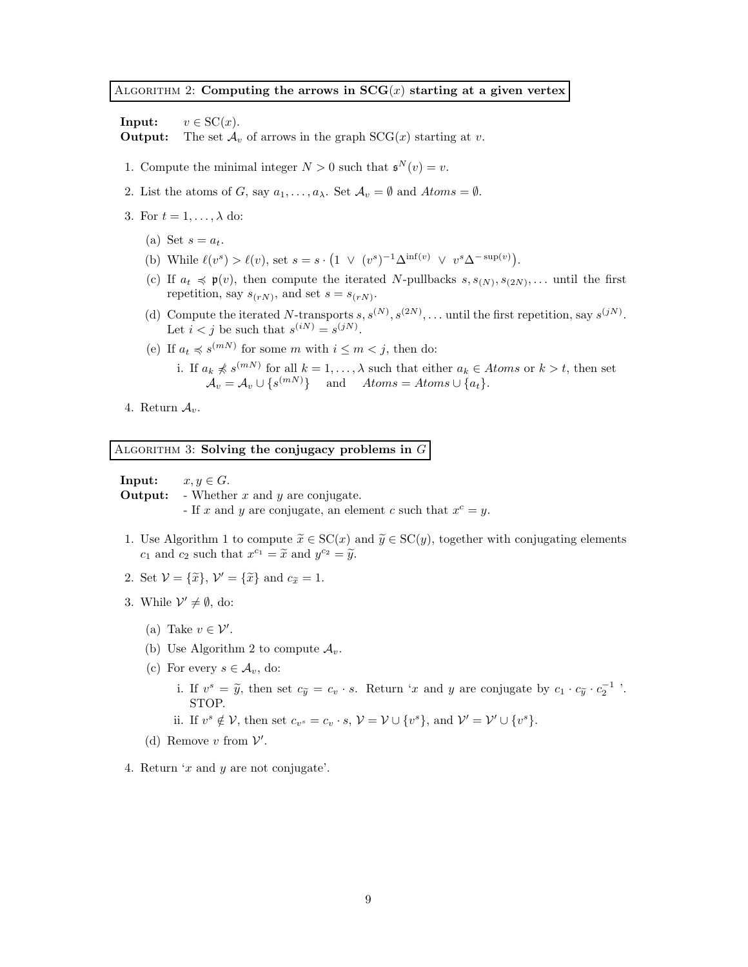### ALGORITHM 2: Computing the arrows in  $SCG(x)$  starting at a given vertex

**Input:**  $v \in \text{SC}(x)$ . **Output:** The set  $\mathcal{A}_v$  of arrows in the graph  $SCG(x)$  starting at v.

- 1. Compute the minimal integer  $N > 0$  such that  $\mathfrak{s}^N(v) = v$ .
- 2. List the atoms of G, say  $a_1, \ldots, a_\lambda$ . Set  $\mathcal{A}_v = \emptyset$  and  $Atoms = \emptyset$ .
- 3. For  $t = 1, \ldots, \lambda$  do:
	- (a) Set  $s = a_t$ .
	- (b) While  $\ell(v^s) > \ell(v)$ , set  $s = s \cdot (1 \vee (v^s)^{-1} \Delta^{\inf(v)} \vee v^s \Delta^{-\sup(v)})$ .
	- (c) If  $a_t \preccurlyeq \mathfrak{p}(v)$ , then compute the iterated N-pullbacks  $s, s_{(N)}, s_{(2N)}, \ldots$  until the first repetition, say  $s_{(rN)}$ , and set  $s = s_{(rN)}$ .
	- (d) Compute the iterated N-transports  $s, s^{(N)}, s^{(2N)}, \ldots$  until the first repetition, say  $s^{(jN)}$ . Let  $i < j$  be such that  $s^{(iN)} = s^{(jN)}$ .
	- (e) If  $a_t \preccurlyeq s^{(m)}$  for some m with  $i \leq m < j$ , then do:
		- i. If  $a_k \nless s^{(m)}$  for all  $k = 1, ..., \lambda$  such that either  $a_k \in Atoms$  or  $k > t$ , then set  $\mathcal{A}_v = \mathcal{A}_v \cup \{s^{(mN)}\}\$ and  $Atoms = Atoms \cup \{a_t\}.$
- 4. Return  $A_v$ .

ALGORITHM 3: Solving the conjugacy problems in  $G$ 

**Input:**  $x, y \in G$ .

**Output:** - Whether  $x$  and  $y$  are conjugate.

- If x and y are conjugate, an element c such that  $x^c = y$ .
- 1. Use Algorithm 1 to compute  $\widetilde{x} \in \mathrm{SC}(x)$  and  $\widetilde{y} \in \mathrm{SC}(y)$ , together with conjugating elements  $c_1$  and  $c_2$  such that  $x^{c_1} = \tilde{x}$  and  $y^{c_2} = \tilde{y}$ .
- 2. Set  $\mathcal{V} = {\tilde{x}}$ ,  $\mathcal{V}' = {\tilde{x}}$  and  $c_{\tilde{x}} = 1$ .
- 3. While  $\mathcal{V}' \neq \emptyset$ , do:
	- (a) Take  $v \in \mathcal{V}'$ .
	- (b) Use Algorithm 2 to compute  $A_v$ .
	- (c) For every  $s \in \mathcal{A}_v$ , do:
		- i. If  $v^s = \tilde{y}$ , then set  $c_{\tilde{y}} = c_v \cdot s$ . Return 'x and y are conjugate by  $c_1 \cdot c_{\tilde{y}} \cdot c_2^{-1}$ '. STOP.
		- ii. If  $v^s \notin \mathcal{V}$ , then set  $c_{v^s} = c_v \cdot s$ ,  $\mathcal{V} = \mathcal{V} \cup \{v^s\}$ , and  $\mathcal{V}' = \mathcal{V}' \cup \{v^s\}$ .
	- (d) Remove  $v$  from  $V'$ .
- 4. Return  $x$  and y are not conjugate'.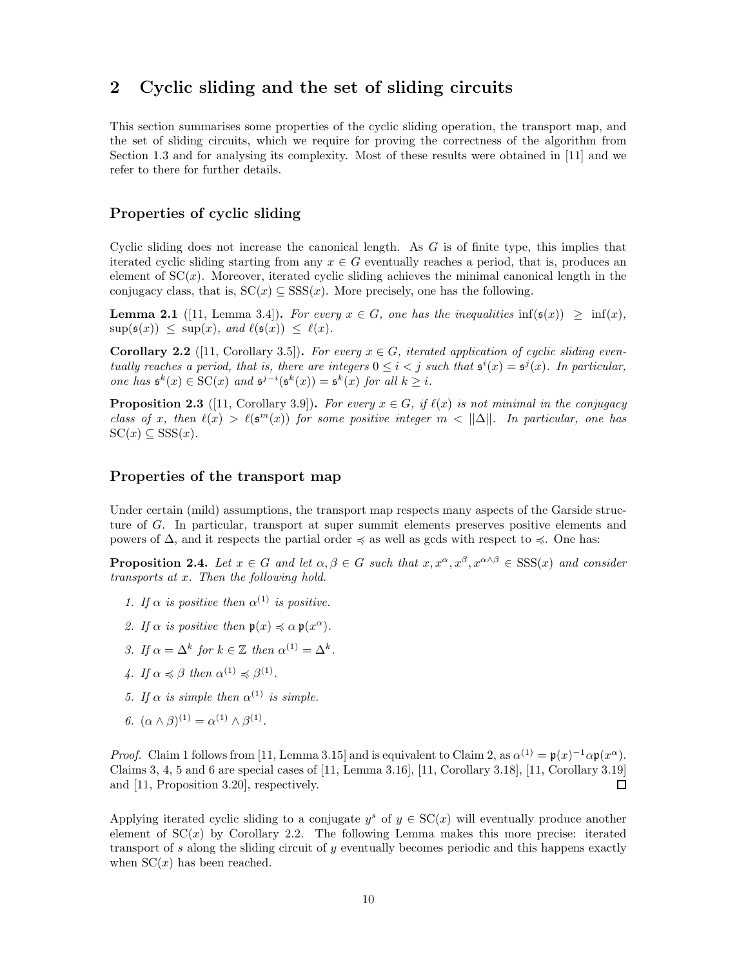# 2 Cyclic sliding and the set of sliding circuits

This section summarises some properties of the cyclic sliding operation, the transport map, and the set of sliding circuits, which we require for proving the correctness of the algorithm from Section 1.3 and for analysing its complexity. Most of these results were obtained in [11] and we refer to there for further details.

## Properties of cyclic sliding

Cyclic sliding does not increase the canonical length. As  $G$  is of finite type, this implies that iterated cyclic sliding starting from any  $x \in G$  eventually reaches a period, that is, produces an element of  $SC(x)$ . Moreover, iterated cyclic sliding achieves the minimal canonical length in the conjugacy class, that is,  $SC(x) \subseteq SSS(x)$ . More precisely, one has the following.

**Lemma 2.1** ([11, Lemma 3.4]). For every  $x \in G$ , one has the inequalities inf( $\mathfrak{s}(x) \geq \inf(x)$ ,  $\sup(\mathfrak{s}(x)) \leq \sup(x)$ *, and*  $\ell(\mathfrak{s}(x)) \leq \ell(x)$ *.* 

**Corollary 2.2** ([11, Corollary 3.5]). For every  $x \in G$ , iterated application of cyclic sliding even*tually reaches a period, that is, there are integers*  $0 \leq i < j$  *such that*  $\mathfrak{s}^{i}(x) = \mathfrak{s}^{j}(x)$ *. In particular, one has*  $\mathfrak{s}^k(x) \in \mathrm{SC}(x)$  *and*  $\mathfrak{s}^{j-i}(\mathfrak{s}^k(x)) = \mathfrak{s}^k(x)$  *for all*  $k \geq i$ *.* 

**Proposition 2.3** ([11, Corollary 3.9]). For every  $x \in G$ , if  $\ell(x)$  is not minimal in the conjugacy *class of* x, then  $\ell(x) > \ell(\mathfrak{s}^m(x))$  for some positive integer  $m < ||\Delta||$ . In particular, one has  $\mathrm{SC}(x) \subseteq \mathrm{SSS}(x)$ .

### Properties of the transport map

Under certain (mild) assumptions, the transport map respects many aspects of the Garside structure of G. In particular, transport at super summit elements preserves positive elements and powers of Δ, and it respects the partial order  $\leq$  as well as gcds with respect to  $\leq$ . One has:

**Proposition 2.4.** *Let*  $x \in G$  *and let*  $\alpha, \beta \in G$  *such that*  $x, x^{\alpha}, x^{\beta}, x^{\alpha \wedge \beta} \in \text{SSS}(x)$  *and consider transports at* x*. Then the following hold.*

- *1. If*  $\alpha$  *is positive then*  $\alpha^{(1)}$  *is positive.*
- 2. If  $\alpha$  is positive then  $\mathfrak{p}(x) \preccurlyeq \alpha \mathfrak{p}(x^{\alpha})$ .
- *3.* If  $\alpha = \Delta^k$  for  $k \in \mathbb{Z}$  then  $\alpha^{(1)} = \Delta^k$ .
- 4. If  $\alpha \preccurlyeq \beta$  then  $\alpha^{(1)} \preccurlyeq \beta^{(1)}$ .
- *5.* If  $\alpha$  *is simple then*  $\alpha^{(1)}$  *is simple.*
- *6.*  $(\alpha \wedge \beta)^{(1)} = \alpha^{(1)} \wedge \beta^{(1)}$ .

*Proof.* Claim 1 follows from [11, Lemma 3.15] and is equivalent to Claim 2, as  $\alpha^{(1)} = \mathfrak{p}(x)^{-1} \alpha \mathfrak{p}(x^{\alpha})$ . Claims 3, 4, 5 and 6 are special cases of [11, Lemma 3.16], [11, Corollary 3.18], [11, Corollary 3.19] and [11, Proposition 3.20], respectively. 口

Applying iterated cyclic sliding to a conjugate  $y^s$  of  $y \in SC(x)$  will eventually produce another element of  $SC(x)$  by Corollary 2.2. The following Lemma makes this more precise: iterated transport of s along the sliding circuit of y eventually becomes periodic and this happens exactly when  $SC(x)$  has been reached.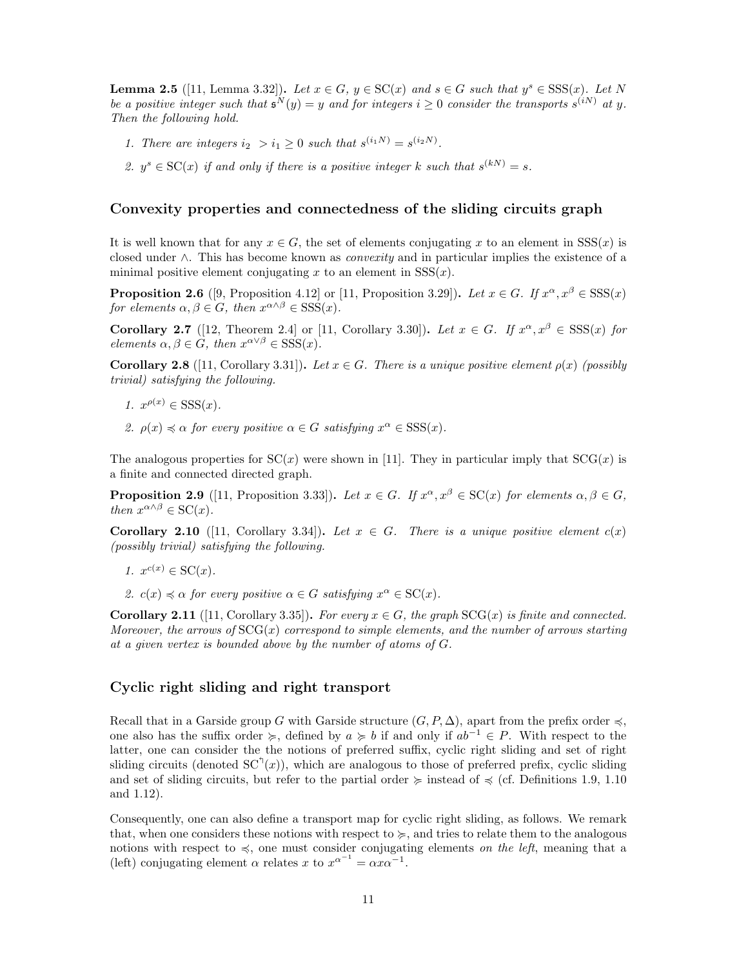**Lemma 2.5** ([11, Lemma 3.32]). Let  $x \in G$ ,  $y \in \text{SC}(x)$  and  $s \in G$  such that  $y^s \in \text{SSS}(x)$ . Let N *be a positive integer such that*  $\mathfrak{s}^N(y) = y$  *and for integers*  $i \geq 0$  *consider the transports*  $s^{(iN)}$  *at* y. *Then the following hold.*

- *1. There are integers*  $i_2 > i_1 \geq 0$  *such that*  $s^{(i_1N)} = s^{(i_2N)}$ *.*
- 2.  $y^s \in SC(x)$  *if and only if there is a positive integer* k such that  $s^{(k)} = s$ .

### Convexity properties and connectedness of the sliding circuits graph

It is well known that for any  $x \in G$ , the set of elements conjugating x to an element in  $SSS(x)$  is closed under ∧. This has become known as *convexity* and in particular implies the existence of a minimal positive element conjugating x to an element in  $SSS(x)$ .

**Proposition 2.6** ([9, Proposition 4.12] or [11, Proposition 3.29]). Let  $x \in G$ . If  $x^{\alpha}, x^{\beta} \in SSS(x)$ *for elements*  $\alpha, \beta \in G$ *, then*  $x^{\alpha \wedge \beta} \in SSS(x)$ *.* 

**Corollary 2.7** ([12, Theorem 2.4] or [11, Corollary 3.30]). Let  $x \in G$ . If  $x^{\alpha}, x^{\beta} \in SSS(x)$  for *elements*  $\alpha, \beta \in G$ *, then*  $x^{\alpha \vee \beta} \in SSS(x)$ *.* 

**Corollary 2.8** ([11, Corollary 3.31]). Let  $x \in G$ . There is a unique positive element  $\rho(x)$  (possibly *trivial) satisfying the following.*

- *1.*  $x^{\rho(x)} \in \text{SSS}(x)$ *.*
- 2.  $\rho(x) \preccurlyeq \alpha$  *for every positive*  $\alpha \in G$  *satisfying*  $x^{\alpha} \in SSS(x)$ *.*

The analogous properties for  $SC(x)$  were shown in [11]. They in particular imply that  $SCG(x)$  is a finite and connected directed graph.

**Proposition 2.9** ([11, Proposition 3.33]). Let  $x \in G$ . If  $x^{\alpha}, x^{\beta} \in SC(x)$  for elements  $\alpha, \beta \in G$ , *then*  $x^{\alpha \wedge \beta} \in \mathrm{SC}(x)$ .

**Corollary 2.10** ([11, Corollary 3.34]). Let  $x \in G$ . There is a unique positive element  $c(x)$ *(possibly trivial) satisfying the following.*

$$
1. \, x^{c(x)} \in \mathrm{SC}(x).
$$

2.  $c(x) \preccurlyeq \alpha$  *for every positive*  $\alpha \in G$  *satisfying*  $x^{\alpha} \in \mathcal{SC}(x)$ *.* 

**Corollary 2.11** ([11, Corollary 3.35]). For every  $x \in G$ , the graph  $SCG(x)$  is finite and connected. *Moreover, the arrows of*  $SCG(x)$  *correspond to simple elements, and the number of arrows starting at a given vertex is bounded above by the number of atoms of* G*.*

### Cyclic right sliding and right transport

Recall that in a Garside group G with Garside structure  $(G, P, \Delta)$ , apart from the prefix order  $\preccurlyeq$ , one also has the suffix order  $\succeq$ , defined by  $a \succcurlyeq b$  if and only if  $ab^{-1} \in P$ . With respect to the latter, one can consider the the notions of preferred suffix, cyclic right sliding and set of right sliding circuits (denoted  $SC^{\dagger}(x)$ ), which are analogous to those of preferred prefix, cyclic sliding and set of sliding circuits, but refer to the partial order  $\succcurlyeq$  instead of  $\preccurlyeq$  (cf. Definitions 1.9, 1.10) and 1.12).

Consequently, one can also define a transport map for cyclic right sliding, as follows. We remark that, when one considers these notions with respect to  $\succcurlyeq$ , and tries to relate them to the analogous notions with respect to  $\leq$ , one must consider conjugating elements *on the left*, meaning that a (left) conjugating element  $\alpha$  relates x to  $x^{\alpha^{-1}} = \alpha x \alpha^{-1}$ .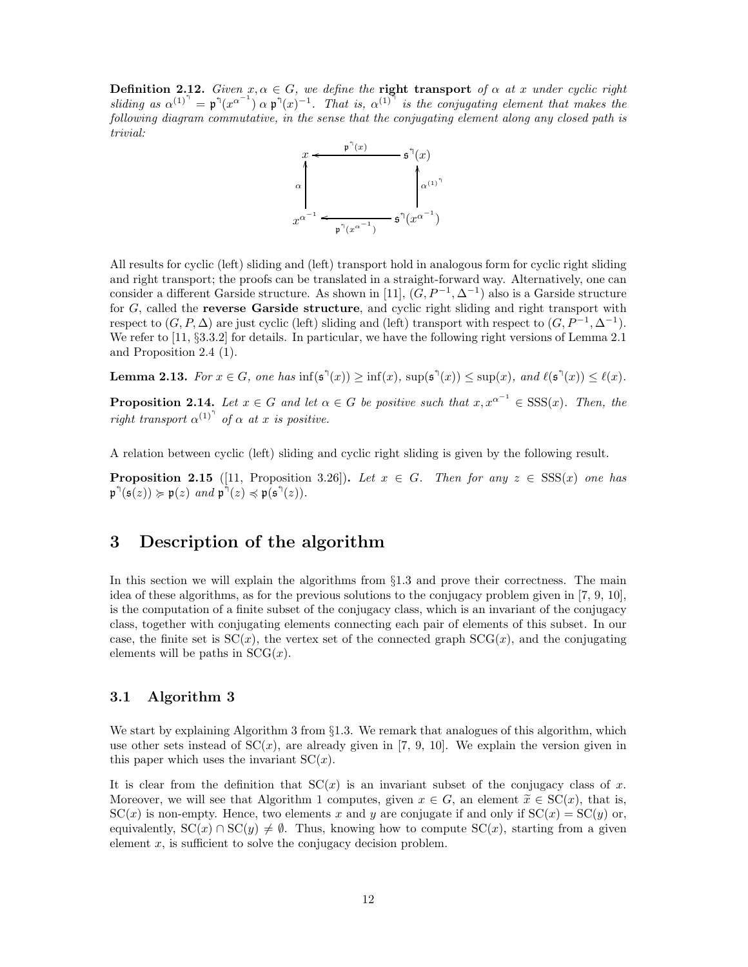**Definition 2.12.** *Given*  $x, \alpha \in G$ *, we define the* **right transport** *of*  $\alpha$  *at* x *under cyclic right* sliding as  $\alpha^{(1)^n} = \mathfrak{p}^{\mathfrak{h}}(x^{\alpha^{-1}}) \alpha \mathfrak{p}^{\mathfrak{h}}(x)^{-1}$ . That is,  $\alpha^{(1)^n}$  is the conjugating element that makes the *following diagram commutative, in the sense that the conjugating element along any closed path is trivial:*



All results for cyclic (left) sliding and (left) transport hold in analogous form for cyclic right sliding and right transport; the proofs can be translated in a straight-forward way. Alternatively, one can consider a different Garside structure. As shown in [11],  $(G, P^{-1}, \Delta^{-1})$  also is a Garside structure for  $G$ , called the **reverse Garside structure**, and cyclic right sliding and right transport with respect to  $(G, P, \Delta)$  are just cyclic (left) sliding and (left) transport with respect to  $(G, P^{-1}, \Delta^{-1})$ . We refer to [11, §3.3.2] for details. In particular, we have the following right versions of Lemma 2.1 and Proposition 2.4 (1).

**Lemma 2.13.** For  $x \in G$ , one has  $\inf(\mathfrak{s}^{\mathfrak{h}}(x)) \ge \inf(x)$ ,  $\sup(\mathfrak{s}^{\mathfrak{h}}(x)) \le \sup(x)$ , and  $\ell(\mathfrak{s}^{\mathfrak{h}}(x)) \le \ell(x)$ .

**Proposition 2.14.** Let  $x \in G$  and let  $\alpha \in G$  be positive such that  $x, x^{\alpha^{-1}} \in SSS(x)$ . Then, the *right transport*  $\alpha^{(1)}$ <sup> $\uparrow$ </sup> *of*  $\alpha$  *at* x *is positive.* 

A relation between cyclic (left) sliding and cyclic right sliding is given by the following result.

**Proposition 2.15** ([11, Proposition 3.26]). Let  $x \in G$ . Then for any  $z \in SSS(x)$  one has  $\mathfrak{p}^{\uparrow}(\mathfrak{s}(z)) \succcurlyeq \mathfrak{p}(z) \text{ and } \mathfrak{p}^{\uparrow}(z) \preccurlyeq \mathfrak{p}(\mathfrak{s}^{\uparrow}(z)).$ 

# 3 Description of the algorithm

In this section we will explain the algorithms from  $\S1.3$  and prove their correctness. The main idea of these algorithms, as for the previous solutions to the conjugacy problem given in [7, 9, 10], is the computation of a finite subset of the conjugacy class, which is an invariant of the conjugacy class, together with conjugating elements connecting each pair of elements of this subset. In our case, the finite set is  $SC(x)$ , the vertex set of the connected graph  $SCG(x)$ , and the conjugating elements will be paths in  $SCG(x)$ .

### 3.1 Algorithm 3

We start by explaining Algorithm 3 from §1.3. We remark that analogues of this algorithm, which use other sets instead of  $SC(x)$ , are already given in [7, 9, 10]. We explain the version given in this paper which uses the invariant  $SC(x)$ .

It is clear from the definition that  $SC(x)$  is an invariant subset of the conjugacy class of x. Moreover, we will see that Algorithm 1 computes, given  $x \in G$ , an element  $\tilde{x} \in SC(x)$ , that is,  $SC(x)$  is non-empty. Hence, two elements x and y are conjugate if and only if  $SC(x) = SC(y)$  or, equivalently,  $SC(x) \cap SC(y) \neq \emptyset$ . Thus, knowing how to compute  $SC(x)$ , starting from a given element  $x$ , is sufficient to solve the conjugacy decision problem.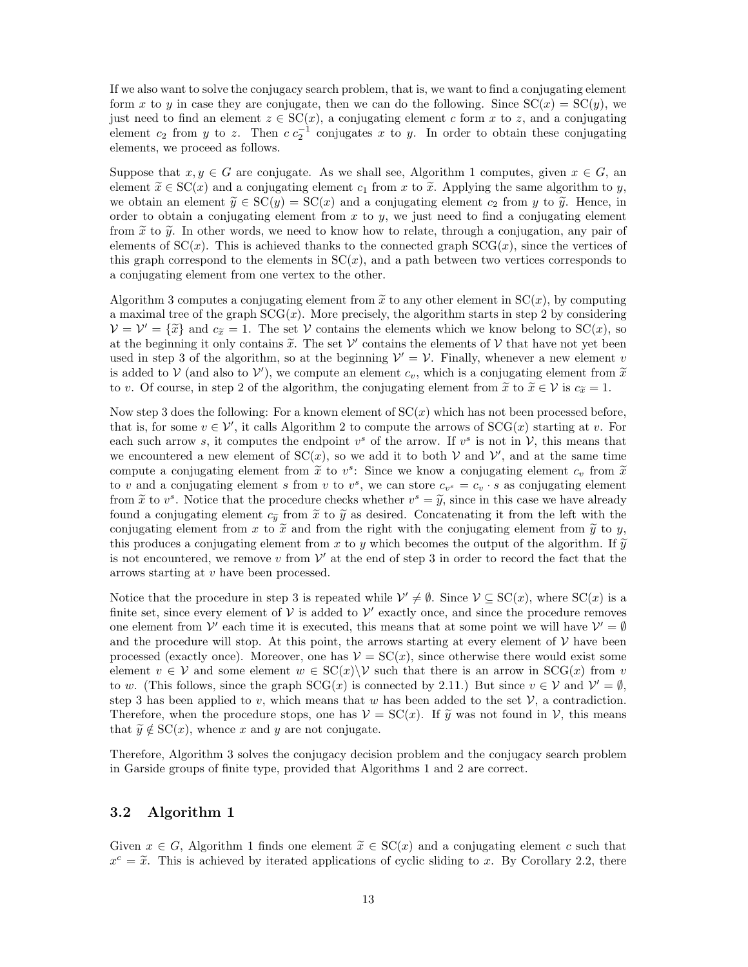If we also want to solve the conjugacy search problem, that is, we want to find a conjugating element form x to y in case they are conjugate, then we can do the following. Since  $SC(x) = SC(y)$ , we just need to find an element  $z \in SC(x)$ , a conjugating element c form x to z, and a conjugating element  $c_2$  from y to z. Then  $c c_2^{-1}$  conjugates x to y. In order to obtain these conjugating elements, we proceed as follows.

Suppose that  $x, y \in G$  are conjugate. As we shall see, Algorithm 1 computes, given  $x \in G$ , an element  $\tilde{x} \in SC(x)$  and a conjugating element  $c_1$  from x to  $\tilde{x}$ . Applying the same algorithm to y, we obtain an element  $\tilde{y} \in SC(y) = SC(x)$  and a conjugating element  $c_2$  from y to  $\tilde{y}$ . Hence, in order to obtain a conjugating element from  $x$  to  $y$ , we just need to find a conjugating element from  $\tilde{x}$  to  $\tilde{y}$ . In other words, we need to know how to relate, through a conjugation, any pair of elements of  $SC(x)$ . This is achieved thanks to the connected graph  $SCG(x)$ , since the vertices of this graph correspond to the elements in  $SC(x)$ , and a path between two vertices corresponds to a conjugating element from one vertex to the other.

Algorithm 3 computes a conjugating element from  $\tilde{x}$  to any other element in  $SC(x)$ , by computing a maximal tree of the graph  $SCG(x)$ . More precisely, the algorithm starts in step 2 by considering  $V = V' = {\tilde{x}}$  and  $c_{\tilde{x}} = 1$ . The set V contains the elements which we know belong to SC(x), so at the beginning it only contains  $\tilde{x}$ . The set  $\mathcal{V}'$  contains the elements of  $\mathcal{V}$  that have not yet been used in step 3 of the algorithm, so at the beginning  $\mathcal{V}' = \mathcal{V}$ . Finally, whenever a new element v is added to  $V$  (and also to  $V'$ ), we compute an element  $c_v$ , which is a conjugating element from  $\tilde{x}$ to v. Of course, in step 2 of the algorithm, the conjugating element from  $\tilde{x}$  to  $\tilde{x} \in \mathcal{V}$  is  $c_{\tilde{x}} = 1$ .

Now step 3 does the following: For a known element of  $SC(x)$  which has not been processed before, that is, for some  $v \in V'$ , it calls Algorithm 2 to compute the arrows of  $SCG(x)$  starting at v. For each such arrow s, it computes the endpoint  $v^s$  of the arrow. If  $v^s$  is not in  $\mathcal{V}$ , this means that we encountered a new element of  $SC(x)$ , so we add it to both V and V', and at the same time compute a conjugating element from  $\tilde{x}$  to  $v^s$ . Since we know a conjugating element  $c_v$  from  $\tilde{x}$ to v and a conjugating element s from v to  $v^s$ , we can store  $c_{v^s} = c_v \cdot s$  as conjugating element from  $\tilde{x}$  to  $v^s$ . Notice that the procedure checks whether  $v^s = \tilde{y}$ , since in this case we have already found a conjugating element  $c_{\tilde{y}}$  from  $\tilde{x}$  to  $\tilde{y}$  as desired. Concatenating it from the left with the conjugating element from x to  $\tilde{x}$  and from the right with the conjugating element from  $\tilde{y}$  to y, this produces a conjugating element from x to y which becomes the output of the algorithm. If  $\tilde{y}$ is not encountered, we remove v from  $\mathcal V'$  at the end of step 3 in order to record the fact that the arrows starting at v have been processed.

Notice that the procedure in step 3 is repeated while  $\mathcal{V}' \neq \emptyset$ . Since  $\mathcal{V} \subseteq SC(x)$ , where  $SC(x)$  is a finite set, since every element of  $V$  is added to  $V'$  exactly once, and since the procedure removes one element from  $\mathcal{V}'$  each time it is executed, this means that at some point we will have  $\mathcal{V}' = \emptyset$ and the procedure will stop. At this point, the arrows starting at every element of  $\mathcal V$  have been processed (exactly once). Moreover, one has  $V = SC(x)$ , since otherwise there would exist some element  $v \in V$  and some element  $w \in SC(x) \backslash V$  such that there is an arrow in  $SCG(x)$  from v to w. (This follows, since the graph  $SCG(x)$  is connected by 2.11.) But since  $v \in V$  and  $V' = \emptyset$ , step 3 has been applied to v, which means that w has been added to the set  $\mathcal{V}$ , a contradiction. Therefore, when the procedure stops, one has  $\mathcal{V} = \mathcal{SC}(x)$ . If  $\tilde{y}$  was not found in  $\mathcal{V}$ , this means that  $\widetilde{y} \notin \mathrm{SC}(x)$ , whence x and y are not conjugate.

Therefore, Algorithm 3 solves the conjugacy decision problem and the conjugacy search problem in Garside groups of finite type, provided that Algorithms 1 and 2 are correct.

# 3.2 Algorithm 1

Given  $x \in G$ , Algorithm 1 finds one element  $\tilde{x} \in SC(x)$  and a conjugating element c such that  $x^c = \tilde{x}$ . This is achieved by iterated applications of cyclic sliding to x. By Corollary 2.2, there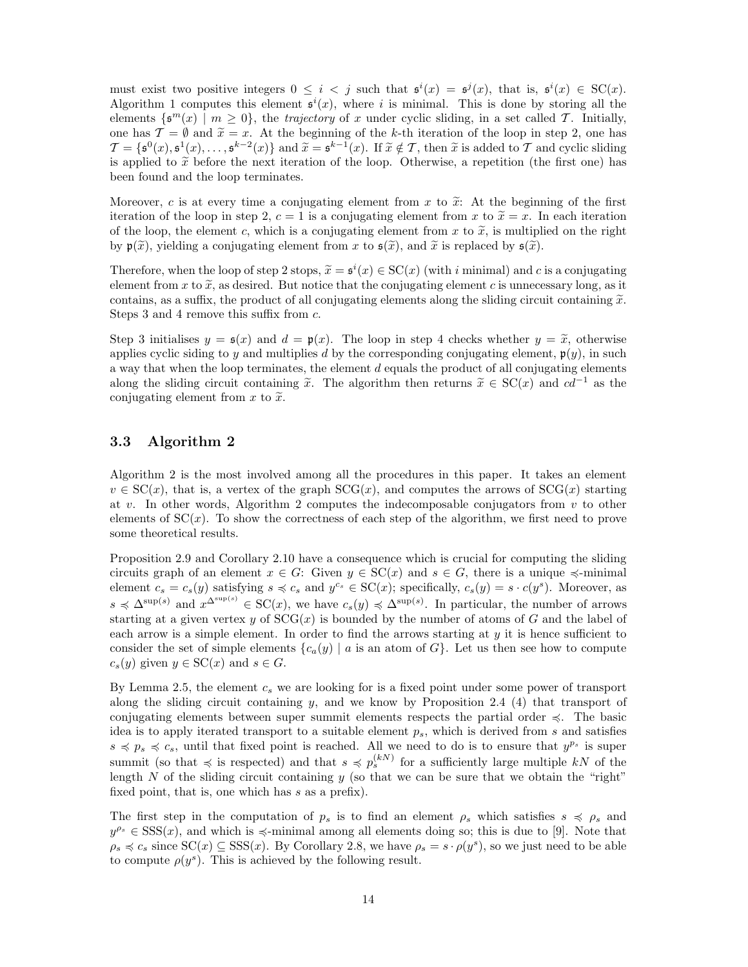must exist two positive integers  $0 \leq i < j$  such that  $\mathfrak{s}^i(x) = \mathfrak{s}^j(x)$ , that is,  $\mathfrak{s}^i(x) \in SC(x)$ . Algorithm 1 computes this element  $\mathfrak{s}^i(x)$ , where i is minimal. This is done by storing all the elements  $\{\mathfrak{s}^m(x) \mid m \geq 0\}$ , the *trajectory* of x under cyclic sliding, in a set called T. Initially, one has  $\mathcal{T} = \emptyset$  and  $\tilde{x} = x$ . At the beginning of the k-th iteration of the loop in step 2, one has  $\mathcal{T} = \{\mathfrak{s}^0(x), \mathfrak{s}^1(x), \dots, \mathfrak{s}^{k-2}(x)\}\$ and  $\widetilde{x} = \mathfrak{s}^{k-1}(x)$ . If  $\widetilde{x} \notin \mathcal{T}$ , then  $\widetilde{x}$  is added to  $\mathcal{T}$  and cyclic sliding is applied to  $\tilde{x}$  before the next iteration of the loop. Otherwise, a repetition (the first one) has been found and the loop terminates.

Moreover, c is at every time a conjugating element from x to  $\tilde{x}$ : At the beginning of the first iteration of the loop in step 2,  $c = 1$  is a conjugating element from x to  $\tilde{x} = x$ . In each iteration of the loop, the element c, which is a conjugating element from x to  $\tilde{x}$ , is multiplied on the right by  $\mathfrak{p}(\tilde{x})$ , yielding a conjugating element from x to  $\mathfrak{s}(\tilde{x})$ , and  $\tilde{x}$  is replaced by  $\mathfrak{s}(\tilde{x})$ .

Therefore, when the loop of step 2 stops,  $\tilde{x} = s^i(x) \in SC(x)$  (with *i* minimal) and *c* is a conjugating element from x to  $\tilde{x}$ , as desired. But notice that the conjugating element c is unnecessary long, as it contains, as a suffix, the product of all conjugating elements along the sliding circuit containing  $\tilde{x}$ . Steps 3 and 4 remove this suffix from c.

Step 3 initialises  $y = \mathfrak{s}(x)$  and  $d = \mathfrak{p}(x)$ . The loop in step 4 checks whether  $y = \tilde{x}$ , otherwise applies cyclic siding to y and multiplies d by the corresponding conjugating element,  $p(y)$ , in such a way that when the loop terminates, the element  $d$  equals the product of all conjugating elements along the sliding circuit containing  $\tilde{x}$ . The algorithm then returns  $\tilde{x} \in SC(x)$  and  $cd^{-1}$  as the conjugating element from x to  $\tilde{x}$ .

## 3.3 Algorithm 2

Algorithm 2 is the most involved among all the procedures in this paper. It takes an element  $v \in SC(x)$ , that is, a vertex of the graph  $SCG(x)$ , and computes the arrows of  $SCG(x)$  starting at v. In other words, Algorithm 2 computes the indecomposable conjugators from  $v$  to other elements of  $SC(x)$ . To show the correctness of each step of the algorithm, we first need to prove some theoretical results.

Proposition 2.9 and Corollary 2.10 have a consequence which is crucial for computing the sliding circuits graph of an element  $x \in G$ : Given  $y \in \text{SC}(x)$  and  $s \in G$ , there is a unique  $\preccurlyeq$ -minimal element  $c_s = c_s(y)$  satisfying  $s \preccurlyeq c_s$  and  $y^{c_s} \in SC(x)$ ; specifically,  $c_s(y) = s \cdot c(y^s)$ . Moreover, as  $s \preccurlyeq \Delta^{\sup(s)}$  and  $x^{\Delta^{\sup(s)}} \in SC(x)$ , we have  $c_s(y) \preccurlyeq \Delta^{\sup(s)}$ . In particular, the number of arrows starting at a given vertex y of  $SCG(x)$  is bounded by the number of atoms of G and the label of each arrow is a simple element. In order to find the arrows starting at  $\eta$  it is hence sufficient to consider the set of simple elements  ${c_a(y) | a}$  is an atom of G. Let us then see how to compute  $c_s(y)$  given  $y \in \mathrm{SC}(x)$  and  $s \in G$ .

By Lemma 2.5, the element  $c_s$  we are looking for is a fixed point under some power of transport along the sliding circuit containing y, and we know by Proposition 2.4 (4) that transport of conjugating elements between super summit elements respects the partial order  $\leq$ . The basic idea is to apply iterated transport to a suitable element  $p_s$ , which is derived from s and satisfies  $s \preccurlyeq p_s \preccurlyeq c_s$ , until that fixed point is reached. All we need to do is to ensure that  $y^{p_s}$  is super summit (so that  $\preccurlyeq$  is respected) and that  $s \preccurlyeq p_s^{(k)}$  for a sufficiently large multiple  $kN$  of the length  $N$  of the sliding circuit containing  $y$  (so that we can be sure that we obtain the "right" fixed point, that is, one which has s as a prefix).

The first step in the computation of  $p_s$  is to find an element  $\rho_s$  which satisfies  $s \preccurlyeq \rho_s$  and  $y^{\rho_s} \in SSS(x)$ , and which is  $\preccurlyeq$ -minimal among all elements doing so; this is due to [9]. Note that  $\rho_s \preccurlyeq c_s$  since  $SC(x) \subseteq SSS(x)$ . By Corollary 2.8, we have  $\rho_s = s \cdot \rho(y^s)$ , so we just need to be able to compute  $\rho(y^s)$ . This is achieved by the following result.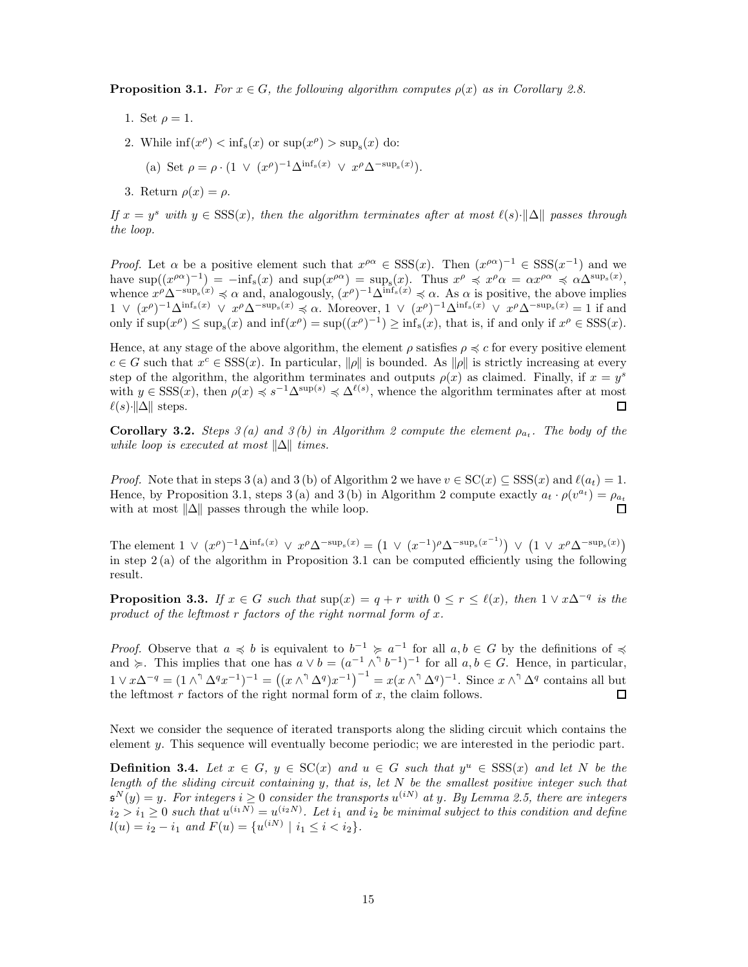**Proposition 3.1.** *For*  $x \in G$ *, the following algorithm computes*  $\rho(x)$  *as in Corollary 2.8.* 

- 1. Set  $\rho = 1$ .
- 2. While  $\inf(x^{\rho}) < \inf_s(x)$  or  $\sup(x^{\rho}) > \sup_s(x)$  do:

(a) Set 
$$
\rho = \rho \cdot (1 \vee (x^{\rho})^{-1} \Delta^{\inf_s(x)} \vee x^{\rho} \Delta^{-\sup_s(x)})
$$
.

3. Return  $\rho(x) = \rho$ .

*If*  $x = y^s$  *with*  $y \in \text{SSS}(x)$ *, then the algorithm terminates after at most*  $\ell(s) \cdot ||\Delta||$  *passes through the loop.*

*Proof.* Let  $\alpha$  be a positive element such that  $x^{\rho\alpha} \in SSS(x)$ . Then  $(x^{\rho\alpha})^{-1} \in SSS(x^{-1})$  and we have  $\sup((x^{\rho\alpha})^{-1}) = -\inf_s(x)$  and  $\sup(x^{\rho\alpha}) = \sup_s(x)$ . Thus  $x^{\rho} \preccurlyeq x^{\rho} \alpha = \alpha x^{\rho\alpha} \preccurlyeq \alpha \Delta^{\sup_s(x)}$ , whence  $x^{\rho} \Delta^{-\sup_s(x)} \preccurlyeq \alpha$  and, analogously,  $(x^{\rho})^{-1} \Delta^{\inf_s(x)} \preccurlyeq \alpha$ . As  $\alpha$  is positive, the above implies  $1 \vee (x^{\rho})^{-1}\Delta^{\inf_{s}(x)} \vee x^{\rho}\Delta^{-\sup_{s}(x)} \preccurlyeq \alpha.$  Moreover,  $1 \vee (x^{\rho})^{-1}\Delta^{\inf_{s}(x)} \vee x^{\rho}\Delta^{-\sup_{s}(x)} = 1$  if and only if  $\sup(x^{\rho}) \leq \sup_s(x)$  and  $\inf(x^{\rho}) = \sup((x^{\rho})^{-1}) \geq \inf_s(x)$ , that is, if and only if  $x^{\rho} \in SSS(x)$ .

Hence, at any stage of the above algorithm, the element  $\rho$  satisfies  $\rho \preccurlyeq c$  for every positive element  $c \in G$  such that  $x^c \in SSS(x)$ . In particular,  $\|\rho\|$  is bounded. As  $\|\rho\|$  is strictly increasing at every step of the algorithm, the algorithm terminates and outputs  $\rho(x)$  as claimed. Finally, if  $x = y^s$ with  $y \in \text{SSS}(x)$ , then  $\rho(x) \preccurlyeq s^{-1}\Delta^{\text{sup}(s)} \preccurlyeq \Delta^{\ell(s)}$ , whence the algorithm terminates after at most  $\ell(s)$ · $\|\Delta\|$  steps.  $\Box$ 

**Corollary 3.2.** *Steps*  $3(a)$  and  $3(b)$  in Algorithm 2 compute the element  $\rho_{a_t}$ . The body of the *while loop is executed at most*  $\|\Delta\|$  *times.* 

*Proof.* Note that in steps 3 (a) and 3 (b) of Algorithm 2 we have  $v \in SC(x) \subseteq SSS(x)$  and  $\ell(a_t) = 1$ . Hence, by Proposition 3.1, steps 3(a) and 3(b) in Algorithm 2 compute exactly  $a_t \cdot \rho(v^{a_t}) = \rho_{a_t}$ with at most  $\|\Delta\|$  passes through the while loop. П

The element  $1 \vee (x^{\rho})^{-1} \Delta^{\inf_s(x)} \vee x^{\rho} \Delta^{-\sup_s(x)} = (1 \vee (x^{-1})^{\rho} \Delta^{-\sup_s(x^{-1})}) \vee (1 \vee x^{\rho} \Delta^{-\sup_s(x)})$ in step 2 (a) of the algorithm in Proposition 3.1 can be computed efficiently using the following result.

**Proposition 3.3.** *If*  $x \in G$  *such that*  $\sup(x) = q + r$  *with*  $0 \le r \le \ell(x)$ *, then*  $1 \vee x\Delta^{-q}$  *is the product of the leftmost* r *factors of the right normal form of* x*.*

*Proof.* Observe that  $a \preccurlyeq b$  is equivalent to  $b^{-1} \succeq a^{-1}$  for all  $a, b \in G$  by the definitions of  $\preccurlyeq$ and  $\succeq$ . This implies that one has  $a \vee b = (a^{-1} \wedge^{\uparrow} b^{-1})^{-1}$  for all  $a, b \in G$ . Hence, in particular,  $1 \vee x\Delta^{-q} = (1 \wedge^{\dagger} \Delta^{q} x^{-1})^{-1} = ((x \wedge^{\dagger} \Delta^{q}) x^{-1})^{-1} = x(x \wedge^{\dagger} \Delta^{q})^{-1}$ . Since  $x \wedge^{\dagger} \Delta^{q}$  contains all but the leftmost  $r$  factors of the right normal form of  $x$ , the claim follows.  $\Box$ 

Next we consider the sequence of iterated transports along the sliding circuit which contains the element y. This sequence will eventually become periodic; we are interested in the periodic part.

**Definition 3.4.** Let  $x \in G$ ,  $y \in SC(x)$  and  $u \in G$  such that  $y^u \in SSS(x)$  and let N be the *length of the sliding circuit containing* y*, that is, let* N *be the smallest positive integer such that*  $\mathfrak{s}^N(y) = y$ . For integers  $i \geq 0$  consider the transports  $u^{(iN)}$  at y. By Lemma 2.5, there are integers  $i_2 > i_1 \geq 0$  such that  $u^{(i_1 N)} = u^{(i_2 N)}$ . Let  $i_1$  and  $i_2$  be minimal subject to this condition and define  $l(u) = i_2 - i_1$  and  $F(u) = \{u^{(iN)} \mid i_1 \le i < i_2\}.$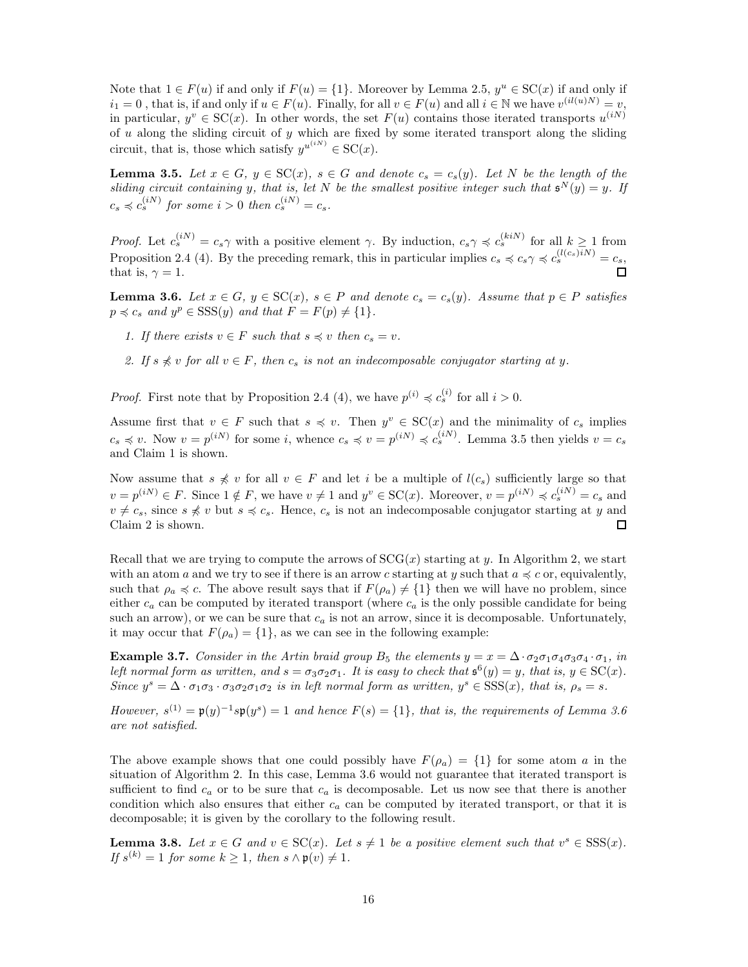Note that  $1 \in F(u)$  if and only if  $F(u) = \{1\}$ . Moreover by Lemma 2.5,  $y^u \in SC(x)$  if and only if  $i_1 = 0$ , that is, if and only if  $u \in F(u)$ . Finally, for all  $v \in F(u)$  and all  $i \in \mathbb{N}$  we have  $v^{(il(u)N)} = v$ , in particular,  $y^v \in SC(x)$ . In other words, the set  $F(u)$  contains those iterated transports  $u^{(iN)}$ of  $u$  along the sliding circuit of  $y$  which are fixed by some iterated transport along the sliding circuit, that is, those which satisfy  $y^{u^{(iN)}} \in SC(x)$ .

**Lemma 3.5.** Let  $x \in G$ ,  $y \in SC(x)$ ,  $s \in G$  and denote  $c_s = c_s(y)$ . Let N be the length of the *sliding circuit containing* y, that is, let N be the smallest positive integer such that  $\mathbf{s}^N(y) = y$ . If  $c_s \preccurlyeq c_s^{(iN)}$  for some  $i > 0$  then  $c_s^{(iN)} = c_s$ .

*Proof.* Let  $c_s^{(iN)} = c_s \gamma$  with a positive element  $\gamma$ . By induction,  $c_s \gamma \preccurlyeq c_s^{(kiN)}$  for all  $k \ge 1$  from Proposition 2.4 (4). By the preceding remark, this in particular implies  $c_s \preccurlyeq c_s \gamma \preccurlyeq c_s^{(l(c_s)iN)} = c_s$ , that is,  $\gamma = 1$ .

**Lemma 3.6.** Let  $x \in G$ ,  $y \in SC(x)$ ,  $s \in P$  and denote  $c_s = c_s(y)$ . Assume that  $p \in P$  satisfies  $p \preccurlyeq c_s$  and  $y^p \in SSS(y)$  and that  $F = F(p) \neq \{1\}.$ 

- *1. If there exists*  $v \in F$  *such that*  $s \preccurlyeq v$  *then*  $c_s = v$ *.*
- 2. If  $s \nless v$  *for all*  $v \in F$ *, then*  $c_s$  *is not an indecomposable conjugator starting at y.*

*Proof.* First note that by Proposition 2.4 (4), we have  $p^{(i)} \preccurlyeq c_s^{(i)}$  for all  $i > 0$ .

Assume first that  $v \in F$  such that  $s \preccurlyeq v$ . Then  $y^v \in SC(x)$  and the minimality of  $c_s$  implies  $c_s \preccurlyeq v$ . Now  $v = p^{(iN)}$  for some i, whence  $c_s \preccurlyeq v = p^{(iN)} \preccurlyeq c_s^{(iN)}$ . Lemma 3.5 then yields  $v = c_s$ and Claim 1 is shown.

Now assume that  $s \nless v$  for all  $v \in F$  and let i be a multiple of  $l(c_s)$  sufficiently large so that  $v = p^{(iN)} \in F$ . Since  $1 \notin F$ , we have  $v \neq 1$  and  $y^v \in SC(x)$ . Moreover,  $v = p^{(iN)} \preccurlyeq c_s^{(iN)} = c_s$  and  $v \neq c_s$ , since  $s \nless v$  but  $s \preccurlyeq c_s$ . Hence,  $c_s$  is not an indecomposable conjugator starting at y and Claim 2 is shown.  $\Box$ 

Recall that we are trying to compute the arrows of  $SCG(x)$  starting at y. In Algorithm 2, we start with an atom a and we try to see if there is an arrow c starting at y such that  $a \preccurlyeq c$  or, equivalently, such that  $\rho_a \preccurlyeq c$ . The above result says that if  $F(\rho_a) \neq \{1\}$  then we will have no problem, since either  $c_a$  can be computed by iterated transport (where  $c_a$  is the only possible candidate for being such an arrow), or we can be sure that  $c_a$  is not an arrow, since it is decomposable. Unfortunately, it may occur that  $F(\rho_a) = \{1\}$ , as we can see in the following example:

**Example 3.7.** *Consider in the Artin braid group*  $B_5$  *the elements*  $y = x = \Delta \cdot \sigma_2 \sigma_1 \sigma_4 \sigma_3 \sigma_4 \cdot \sigma_1$ *, in left normal form as written, and*  $s = \sigma_3 \sigma_2 \sigma_1$ *. It is easy to check that*  $\mathfrak{s}^6(y) = y$ *, that is,*  $y \in SC(x)$ *. Since*  $y^s = \Delta \cdot \sigma_1 \sigma_3 \cdot \sigma_3 \sigma_2 \sigma_1 \sigma_2$  *is in left normal form as written,*  $y^s \in \text{SSS}(x)$ *, that is,*  $\rho_s = s$ *.* 

*However,*  $s^{(1)} = \mathfrak{p}(y)^{-1} s \mathfrak{p}(y^s) = 1$  and hence  $F(s) = \{1\}$ *, that is, the requirements of Lemma 3.6 are not satisfied.*

The above example shows that one could possibly have  $F(\rho_a) = \{1\}$  for some atom a in the situation of Algorithm 2. In this case, Lemma 3.6 would not guarantee that iterated transport is sufficient to find  $c_a$  or to be sure that  $c_a$  is decomposable. Let us now see that there is another condition which also ensures that either  $c_a$  can be computed by iterated transport, or that it is decomposable; it is given by the corollary to the following result.

**Lemma 3.8.** Let  $x \in G$  and  $v \in SC(x)$ . Let  $s \neq 1$  be a positive element such that  $v^s \in SSS(x)$ . *If*  $s^{(k)} = 1$  *for some*  $k \geq 1$ *, then*  $s \wedge \mathfrak{p}(v) \neq 1$ *.*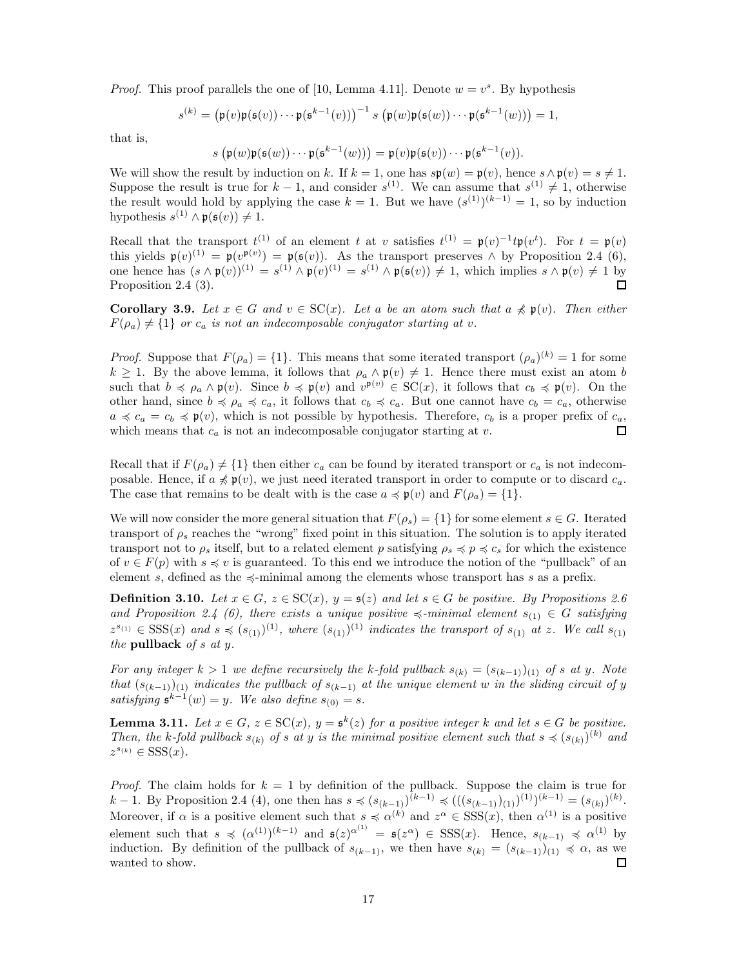*Proof.* This proof parallels the one of [10, Lemma 4.11]. Denote  $w = v^s$ . By hypothesis

$$
s^{(k)} = (\mathfrak{p}(v)\mathfrak{p}(\mathfrak{s}(v))\cdots\mathfrak{p}(\mathfrak{s}^{k-1}(v)))^{-1} s (\mathfrak{p}(w)\mathfrak{p}(\mathfrak{s}(w))\cdots\mathfrak{p}(\mathfrak{s}^{k-1}(w))) = 1,
$$

that is,

$$
s\left(\mathfrak p(w)\mathfrak p(\mathfrak s(w))\cdots\mathfrak p(\mathfrak s^{k-1}(w))\right)=\mathfrak p(v)\mathfrak p(\mathfrak s(v))\cdots\mathfrak p(\mathfrak s^{k-1}(v)).
$$

We will show the result by induction on k. If  $k = 1$ , one has  $s\mathfrak{p}(w) = \mathfrak{p}(v)$ , hence  $s \wedge \mathfrak{p}(v) = s \neq 1$ . Suppose the result is true for  $k-1$ , and consider  $s^{(1)}$ . We can assume that  $s^{(1)} \neq 1$ , otherwise the result would hold by applying the case  $k = 1$ . But we have  $(s^{(1)})^{(k-1)} = 1$ , so by induction hypothesis  $s^{(1)} \wedge \mathfrak{p}(\mathfrak{s}(v)) \neq 1$ .

Recall that the transport  $t^{(1)}$  of an element t at v satisfies  $t^{(1)} = \mathfrak{p}(v)^{-1} t \mathfrak{p}(v^t)$ . For  $t = \mathfrak{p}(v)$ this yields  $\mathfrak{p}(v)^{(1)} = \mathfrak{p}(v^{\mathfrak{p}(v)}) = \mathfrak{p}(\mathfrak{s}(v))$ . As the transport preserves  $\wedge$  by Proposition 2.4 (6), one hence has  $(s \wedge \mathfrak{p}(v))^{(1)} = s^{(1)} \wedge \mathfrak{p}(v)^{(1)} = s^{(1)} \wedge \mathfrak{p}(\mathfrak{s}(v)) \neq 1$ , which implies  $s \wedge \mathfrak{p}(v) \neq 1$  by Proposition 2.4 (3).  $\Box$ 

**Corollary 3.9.** Let  $x \in G$  and  $v \in SC(x)$ . Let a be an atom such that  $a \nless p(v)$ . Then either  $F(\rho_a) \neq \{1\}$  *or*  $c_a$  *is not an indecomposable conjugator starting at v.* 

*Proof.* Suppose that  $F(\rho_a) = \{1\}$ . This means that some iterated transport  $(\rho_a)^{(k)} = 1$  for some  $k \geq 1$ . By the above lemma, it follows that  $\rho_a \wedge \mathfrak{p}(v) \neq 1$ . Hence there must exist an atom b such that  $b \preccurlyeq \rho_a \wedge \mathfrak{p}(v)$ . Since  $b \preccurlyeq \mathfrak{p}(v)$  and  $v^{\mathfrak{p}(v)} \in \mathrm{SC}(x)$ , it follows that  $c_b \preccurlyeq \mathfrak{p}(v)$ . On the other hand, since  $b \preccurlyeq \rho_a \preccurlyeq c_a$ , it follows that  $c_b \preccurlyeq c_a$ . But one cannot have  $c_b = c_a$ , otherwise  $a \preccurlyeq c_a = c_b \preccurlyeq \mathfrak{p}(v)$ , which is not possible by hypothesis. Therefore,  $c_b$  is a proper prefix of  $c_a$ , which means that  $c_a$  is not an indecomposable conjugator starting at v.  $\Box$ 

Recall that if  $F(\rho_a) \neq \{1\}$  then either  $c_a$  can be found by iterated transport or  $c_a$  is not indecomposable. Hence, if  $a \not\preccurlyeq \mathfrak{p}(v)$ , we just need iterated transport in order to compute or to discard  $c_a$ . The case that remains to be dealt with is the case  $a \preccurlyeq \mathfrak{p}(v)$  and  $F(\rho_a) = \{1\}.$ 

We will now consider the more general situation that  $F(\rho_s) = \{1\}$  for some element  $s \in G$ . Iterated transport of  $\rho_s$  reaches the "wrong" fixed point in this situation. The solution is to apply iterated transport not to  $\rho_s$  itself, but to a related element p satisfying  $\rho_s \preccurlyeq p \preccurlyeq c_s$  for which the existence of  $v \in F(p)$  with  $s \preccurlyeq v$  is guaranteed. To this end we introduce the notion of the "pullback" of an element s, defined as the  $\leq$ -minimal among the elements whose transport has s as a prefix.

**Definition 3.10.** *Let*  $x \in G$ *,*  $z \in \text{SC}(x)$ *,*  $y = \textbf{s}(z)$  *and let*  $s \in G$  *be positive. By Propositions 2.6 and Proposition 2.4 (6), there exists a unique positive*  $\leq$ -minimal element  $s_{(1)} \in G$  *satisfying*  $z^{s_{(1)}} \in \text{SSS}(x)$  and  $s \preccurlyeq (s_{(1)})^{(1)}$ , where  $(s_{(1)})^{(1)}$  indicates the transport of  $s_{(1)}$  at z. We call  $s_{(1)}$ *the* pullback *of* s *at* y*.*

*For any integer*  $k > 1$  *we define recursively the* k-fold pullback  $s_{(k)} = (s_{(k-1)})_{(1)}$  *of* s *at* y. Note *that*  $(s_{(k-1)})_{(1)}$  *indicates the pullback of*  $s_{(k-1)}$  *at the unique element* w *in the sliding circuit of* y  $satisfying \n\mathfrak{s}^{k-1}(w) = y.$  We also define  $s_{(0)} = s.$ 

**Lemma 3.11.** Let  $x \in G$ ,  $z \in \mathrm{SC}(x)$ ,  $y = \mathfrak{s}^k(z)$  for a positive integer k and let  $s \in G$  be positive. *Then, the* k-fold pullback  $s_{(k)}$  of s at y is the minimal positive element such that  $s \preccurlyeq (s_{(k)})^{(k)}$  and  $z^{s_{(k)}} \in \text{SSS}(x)$ .

*Proof.* The claim holds for  $k = 1$  by definition of the pullback. Suppose the claim is true for  $k-1$ . By Proposition 2.4 (4), one then has  $s \preccurlyeq (s_{(k-1)})^{(k-1)} \preccurlyeq (((s_{(k-1)}')_{(1)})^{(1)})^{(k-1)} = (s_{(k)})^{(k)}$ . Moreover, if  $\alpha$  is a positive element such that  $s \preccurlyeq \alpha^{(k)}$  and  $z^{\alpha} \in SSS(x)$ , then  $\alpha^{(1)}$  is a positive element such that  $s \preccurlyeq (\alpha^{(1)})^{(k-1)}$  and  $\mathfrak{s}(z)^{\alpha^{(1)}} = \mathfrak{s}(z^{\alpha}) \in SSS(x)$ . Hence,  $s_{(k-1)} \preccurlyeq \alpha^{(1)}$  by induction. By definition of the pullback of  $s_{(k-1)}$ , we then have  $s_{(k)} = (s_{(k-1)})_{(1)} \preccurlyeq \alpha$ , as we wanted to show. □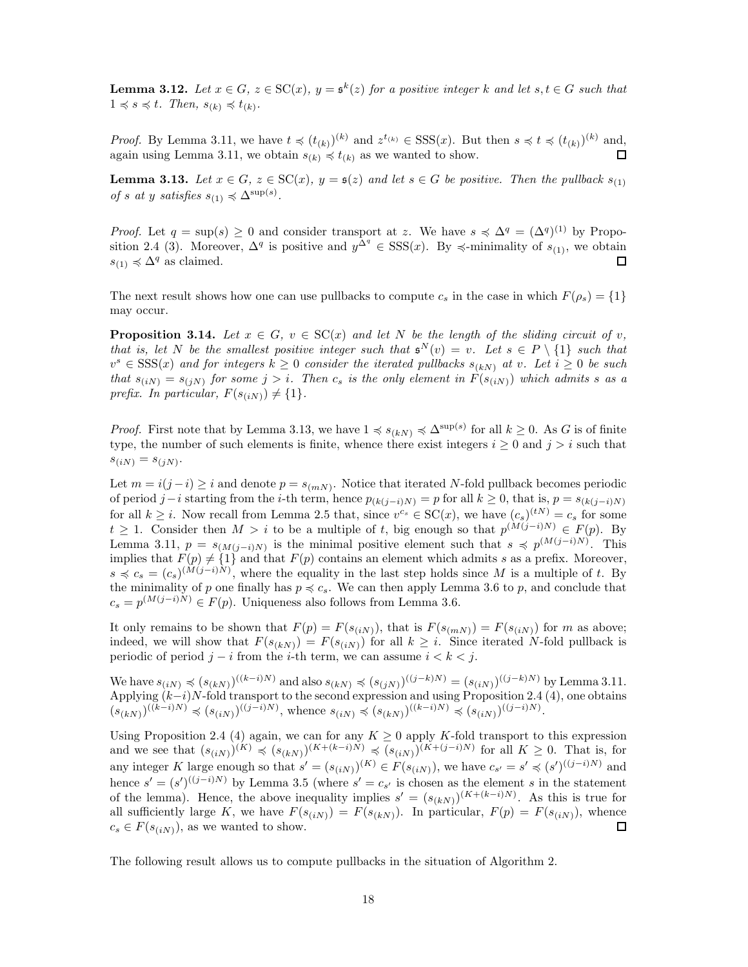**Lemma 3.12.** Let  $x \in G$ ,  $z \in \mathrm{SC}(x)$ ,  $y = \mathfrak{s}^k(z)$  for a positive integer k and let  $s, t \in G$  such that  $1 \preccurlyeq s \preccurlyeq t$ *. Then,*  $s_{(k)} \preccurlyeq t_{(k)}$ *.* 

*Proof.* By Lemma 3.11, we have  $t \preccurlyeq (t_{(k)})^{(k)}$  and  $z^{t_{(k)}} \in \text{SSS}(x)$ . But then  $s \preccurlyeq t \preccurlyeq (t_{(k)})^{(k)}$  and, again using Lemma 3.11, we obtain  $s_{(k)} \preccurlyeq t_{(k)}$  as we wanted to show. П

**Lemma 3.13.** Let  $x \in G$ ,  $z \in \mathcal{SC}(x)$ ,  $y = \mathfrak{s}(z)$  and let  $s \in G$  be positive. Then the pullback  $s_{(1)}$ *of s at* y *satisfies*  $s_{(1)} \preccurlyeq \Delta^{\sup(s)}$ *.* 

*Proof.* Let  $q = \sup(s) \ge 0$  and consider transport at z. We have  $s \preccurlyeq \Delta^q = (\Delta^q)^{(1)}$  by Proposition 2.4 (3). Moreover,  $\Delta^q$  is positive and  $y^{\Delta^q} \in SSS(x)$ . By  $\preccurlyeq$ -minimality of  $s_{(1)}$ , we obtain  $s_{(1)} \preccurlyeq \Delta^q$  as claimed. □

The next result shows how one can use pullbacks to compute  $c_s$  in the case in which  $F(\rho_s) = \{1\}$ may occur.

**Proposition 3.14.** *Let*  $x \in G$ ,  $v \in SC(x)$  *and let* N *be the length of the sliding circuit of* v, *that is, let* N *be the smallest positive integer such that*  $\mathfrak{s}^N(v) = v$ . Let  $s \in P \setminus \{1\}$  such that  $v^s \in \text{SSS}(x)$  and for integers  $k \geq 0$  consider the iterated pullbacks  $s_{(k)}$  at v. Let  $i \geq 0$  be such *that*  $s_{(iN)} = s_{(jN)}$  for some  $j > i$ . Then  $c_s$  *is the only element in*  $F(s_{(iN)})$  *which admits* s *as a prefix. In particular,*  $F(s_{(iN)}) \neq \{1\}$ .

*Proof.* First note that by Lemma 3.13, we have  $1 \preccurlyeq s_{(k,N)} \preccurlyeq \Delta^{\sup(s)}$  for all  $k \geq 0$ . As G is of finite type, the number of such elements is finite, whence there exist integers  $i \geq 0$  and  $j > i$  such that  $s_{(iN)} = s_{(jN)}.$ 

Let  $m = i(j - i) \geq i$  and denote  $p = s_{(mN)}$ . Notice that iterated N-fold pullback becomes periodic of period j−i starting from the i-th term, hence  $p_{(k(j-i)N)} = p$  for all  $k \ge 0$ , that is,  $p = s_{(k(j-i)N)}$ for all  $k \geq i$ . Now recall from Lemma 2.5 that, since  $v^{c_s} \in SC(x)$ , we have  $(c_s)^{(tN)} = c_s$  for some  $t \geq 1$ . Consider then  $M > i$  to be a multiple of t, big enough so that  $p^{(M(j-i)N)} \in F(p)$ . By Lemma 3.11,  $p = s_{(M(j-i)N)}$  is the minimal positive element such that  $s \preccurlyeq p^{(M(j-i)N)}$ . This implies that  $F(p) \neq \{1\}$  and that  $F(p)$  contains an element which admits s as a prefix. Moreover,  $s \preccurlyeq c_s = (c_s)^{(\tilde{M}(j-i)\tilde{N})}$ , where the equality in the last step holds since M is a multiple of t. By the minimality of p one finally has  $p \preccurlyeq c_s$ . We can then apply Lemma 3.6 to p, and conclude that  $c_s = p^{(M(j-i)N)} \in F(p)$ . Uniqueness also follows from Lemma 3.6.

It only remains to be shown that  $F(p) = F(s_{(iN)})$ , that is  $F(s_{(iN)}) = F(s_{(iN)})$  for m as above; indeed, we will show that  $F(s_{(kN)}) = F(s_{(iN)})$  for all  $k \geq i$ . Since iterated N-fold pullback is periodic of period  $j - i$  from the *i*-th term, we can assume  $i < k < j$ .

We have  $s_{(iN)} \preccurlyeq (s_{(kN)})^{((k-i)N)}$  and also  $s_{(kN)} \preccurlyeq (s_{(jN)})^{((j-k)N)} = (s_{(iN)})^{((j-k)N)}$  by Lemma 3.11. Applying  $(k-i)N$ -fold transport to the second expression and using Proposition 2.4 (4), one obtains  $(s_{(kN)})^{((\tilde{k}-i)N)} \preccurlyeq (s_{(iN)})^{((j-i)N)}$ , whence  $s_{(iN)} \preccurlyeq (s_{(kN)})^{((k-i)N)} \preccurlyeq (s_{(iN)})^{((j-i)N)}$ .

Using Proposition 2.4 (4) again, we can for any  $K \geq 0$  apply K-fold transport to this expression and we see that  $(s_{(iN)})^{(K)} \preccurlyeq (s_{(kN)})^{(K+(k-i)N)} \preccurlyeq (s_{(iN)})^{(K+(j-i)N)}$  for all  $K \geq 0$ . That is, for any integer K large enough so that  $s' = (s_{(iN)})^{(K)} \in F(s_{(iN)})$ , we have  $c_{s'} = s' \preccurlyeq (s')^{((j-i)N)}$  and hence  $s' = (s')^{((j-i)N)}$  by Lemma 3.5 (where  $s' = c_{s'}$  is chosen as the element s in the statement of the lemma). Hence, the above inequality implies  $s' = (s_{(kN)})^{(K+(k-i)N)}$ . As this is true for all sufficiently large K, we have  $F(s_{(iN)}) = F(s_{(kN)})$ . In particular,  $F(p) = F(s_{(iN)})$ , whence  $c_s \in F(s_{(iN)})$ , as we wanted to show. □

The following result allows us to compute pullbacks in the situation of Algorithm 2.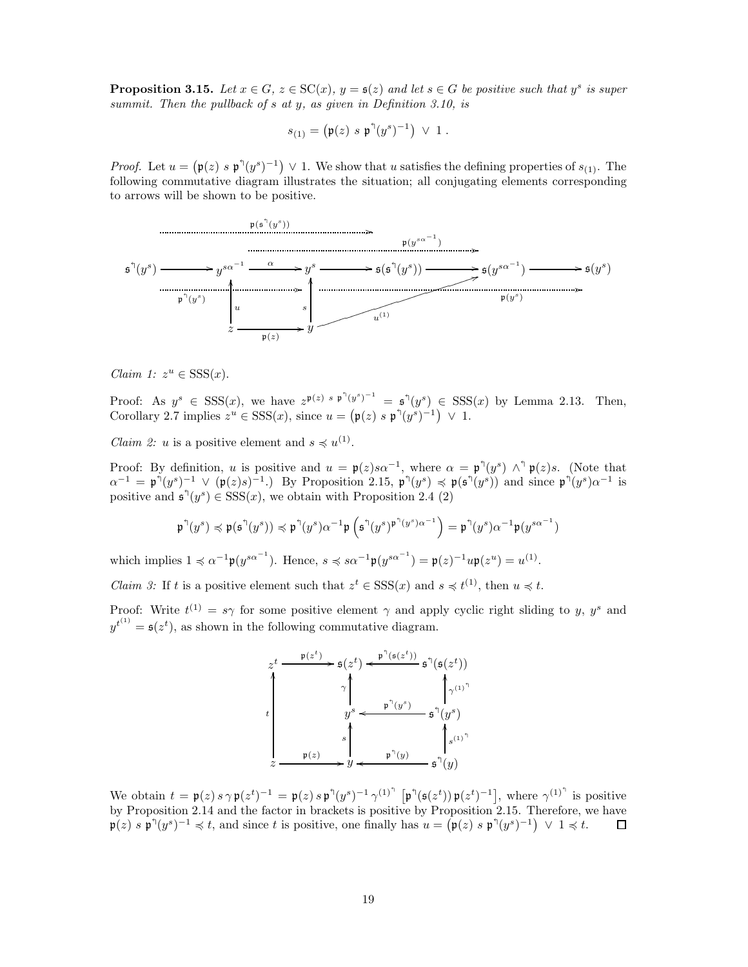**Proposition 3.15.** Let  $x \in G$ ,  $z \in SC(x)$ ,  $y = s(z)$  and let  $s \in G$  be positive such that  $y^s$  is super *summit. Then the pullback of* s *at* y*, as given in Definition 3.10, is*

$$
s_{(1)} = (\mathfrak{p}(z) \ s \ \mathfrak{p}^{\dagger} (y^s)^{-1}) \ \vee \ 1 \ .
$$

*Proof.* Let  $u = (\mathfrak{p}(z) \ s \ \mathfrak{p}^{\dagger}(y^s)^{-1}) \ \vee 1$ . We show that u satisfies the defining properties of  $s_{(1)}$ . The following commutative diagram illustrates the situation; all conjugating elements corresponding to arrows will be shown to be positive.



*Claim 1:*  $z^u \in SSS(x)$ .

Proof: As  $y^s \in SSS(x)$ , we have  $z^{p(z) s p^{\uparrow}(y^s)^{-1}} = \mathfrak{s}^{\uparrow}(y^s) \in SSS(x)$  by Lemma 2.13. Then, Corollary 2.7 implies  $z^u \in SSS(x)$ , since  $u = (\mathfrak{p}(z) \ s \ \mathfrak{p}^{\uparrow}(y^s)^{-1}) \ \vee \ 1$ .

*Claim 2: u* is a positive element and  $s \preccurlyeq u^{(1)}$ .

Proof: By definition, u is positive and  $u = \mathfrak{p}(z) s \alpha^{-1}$ , where  $\alpha = \mathfrak{p}^{\dagger}(y^s) \wedge^{\dagger} \mathfrak{p}(z) s$ . (Note that  $\alpha^{-1} = \mathfrak{p}^{\dagger}(y^s)^{-1} \vee (\mathfrak{p}(z)s)^{-1}$ . By Proposition 2.15,  $\mathfrak{p}^{\dagger}(y^s) \preccurlyeq \mathfrak{p}(\mathfrak{s}^{\dagger}(y^s))$  and since  $\mathfrak{p}^{\dagger}(y^s) \alpha^{-1}$  is positive and  $\mathfrak{s}^{\eta}(y^s) \in \text{SSS}(x)$ , we obtain with Proposition 2.4 (2)

$$
\mathfrak{p}^{\uparrow}(y^s) \preccurlyeq \mathfrak{p}(\mathfrak{s}^{\uparrow}(y^s)) \preccurlyeq \mathfrak{p}^{\uparrow}(y^s) \alpha^{-1} \mathfrak{p}\left(\mathfrak{s}^{\uparrow}(y^s)^{\mathfrak{p}^{\uparrow}(y^s) \alpha^{-1}}\right) = \mathfrak{p}^{\uparrow}(y^s) \alpha^{-1} \mathfrak{p}(y^{s \alpha^{-1}})
$$

which implies  $1 \preccurlyeq \alpha^{-1} \mathfrak{p}(y^{s\alpha^{-1}})$ . Hence,  $s \preccurlyeq s\alpha^{-1} \mathfrak{p}(y^{s\alpha^{-1}}) = \mathfrak{p}(z)^{-1}u\mathfrak{p}(z^u) = u^{(1)}$ .

*Claim 3:* If t is a positive element such that  $z^t \in SSS(x)$  and  $s \preccurlyeq t$ <sup>(1)</sup>, then  $u \preccurlyeq t$ .

Proof: Write  $t^{(1)} = s\gamma$  for some positive element  $\gamma$  and apply cyclic right sliding to y, y<sup>s</sup> and  $y^{t^{(1)}} = \mathfrak{s}(z^t)$ , as shown in the following commutative diagram.



We obtain  $t = \mathfrak{p}(z) s \gamma \mathfrak{p}(z^t)^{-1} = \mathfrak{p}(z) s \mathfrak{p}^{\mathfrak{q}}(y^s)^{-1} \gamma^{(1)^{\mathfrak{q}}} [\mathfrak{p}^{\mathfrak{q}}(\mathfrak{s}(z^t)) \mathfrak{p}(z^t)^{-1}]$ , where  $\gamma^{(1)^{\mathfrak{q}}}$  is positive by Proposition 2.14 and the factor in brackets is positive by Proposition 2.15. Therefore, we have  $\mathfrak{p}(z)$  s  $\mathfrak{p}^{\uparrow}(y^s)^{-1} \preccurlyeq t$ , and since t is positive, one finally has  $u = (\mathfrak{p}(z) \cdot \mathfrak{p}^{\uparrow}(y^s)^{-1}) \vee 1 \preccurlyeq t$ .  $\Box$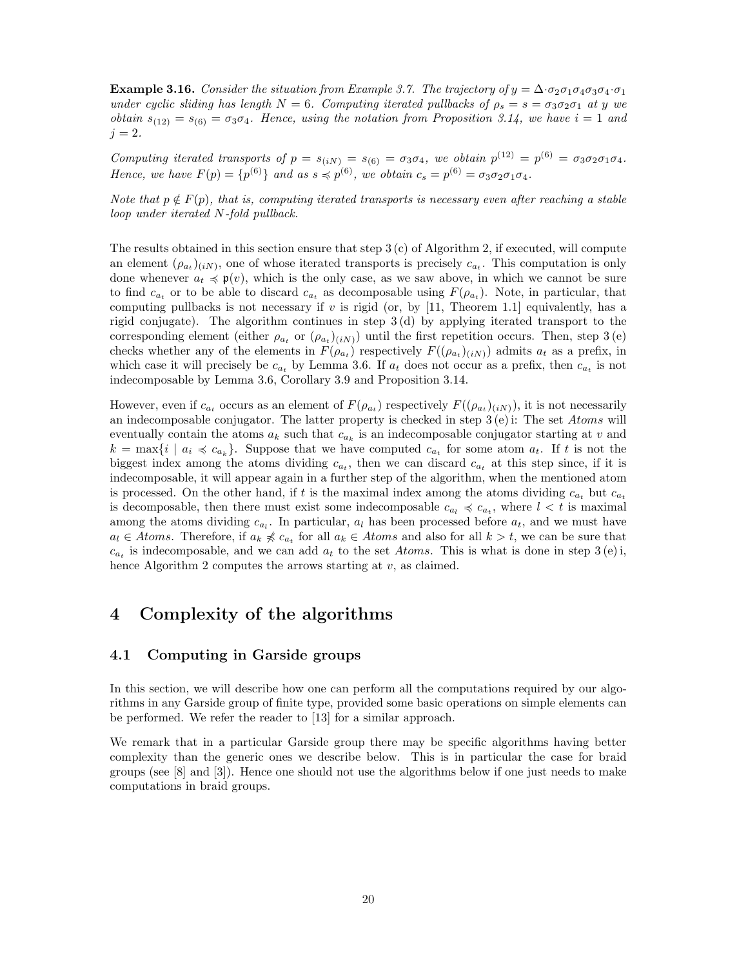**Example 3.16.** *Consider the situation from Example 3.7. The trajectory of*  $y = \Delta \cdot \sigma_2 \sigma_1 \sigma_4 \sigma_3 \sigma_4 \cdot \sigma_1$ *under cyclic sliding has length*  $N = 6$ *. Computing iterated pullbacks of*  $\rho_s = s = \sigma_3 \sigma_2 \sigma_1$  *at* y *we obtain*  $s_{(12)} = s_{(6)} = \sigma_3 \sigma_4$ . Hence, using the notation from Proposition 3.14, we have  $i = 1$  and  $j = 2.$ 

*Computing iterated transports of*  $p = s_{(iN)} = s_{(6)} = \sigma_3 \sigma_4$ , we obtain  $p^{(12)} = p^{(6)} = \sigma_3 \sigma_2 \sigma_1 \sigma_4$ . *Hence, we have*  $F(p) = \{p^{(6)}\}$  *and as*  $s \preccurlyeq p^{(6)}$ *, we obtain*  $c_s = p^{(6)} = \sigma_3 \sigma_2 \sigma_1 \sigma_4$ *.* 

*Note that*  $p \notin F(p)$ *, that is, computing iterated transports is necessary even after reaching a stable loop under iterated* N*-fold pullback.*

The results obtained in this section ensure that step 3 (c) of Algorithm 2, if executed, will compute an element  $(\rho_{a_t})_{(iN)}$ , one of whose iterated transports is precisely  $c_{a_t}$ . This computation is only done whenever  $a_t \preccurlyeq \mathfrak{p}(v)$ , which is the only case, as we saw above, in which we cannot be sure to find  $c_{a_t}$  or to be able to discard  $c_{a_t}$  as decomposable using  $F(\rho_{a_t})$ . Note, in particular, that computing pullbacks is not necessary if  $v$  is rigid (or, by [11, Theorem 1.1] equivalently, has a rigid conjugate). The algorithm continues in step 3 (d) by applying iterated transport to the corresponding element (either  $\rho_{a_t}$  or  $(\rho_{a_t})_{(iN)}$ ) until the first repetition occurs. Then, step 3(e) checks whether any of the elements in  $F(\rho_{a_t})$  respectively  $F((\rho_{a_t})_{(iN)})$  admits  $a_t$  as a prefix, in which case it will precisely be  $c_{a_t}$  by Lemma 3.6. If  $a_t$  does not occur as a prefix, then  $c_{a_t}$  is not indecomposable by Lemma 3.6, Corollary 3.9 and Proposition 3.14.

However, even if  $c_{a_t}$  occurs as an element of  $F(\rho_{a_t})$  respectively  $F((\rho_{a_t})_{(iN)})$ , it is not necessarily an indecomposable conjugator. The latter property is checked in step  $3(e)$  i: The set Atoms will eventually contain the atoms  $a_k$  such that  $c_{a_k}$  is an indecomposable conjugator starting at v and  $k = \max\{i \mid a_i \preccurlyeq c_{a_k}\}.$  Suppose that we have computed  $c_{a_t}$  for some atom  $a_t$ . If t is not the biggest index among the atoms dividing  $c_{a_t}$ , then we can discard  $c_{a_t}$  at this step since, if it is indecomposable, it will appear again in a further step of the algorithm, when the mentioned atom is processed. On the other hand, if t is the maximal index among the atoms dividing  $c_{a_t}$  but  $c_{a_t}$ is decomposable, then there must exist some indecomposable  $c_{a_l} \preccurlyeq c_{a_t}$ , where  $l \lt t$  is maximal among the atoms dividing  $c_{a_l}$ . In particular,  $a_l$  has been processed before  $a_t$ , and we must have  $a_l \in Atoms.$  Therefore, if  $a_k \not\preccurlyeq c_{a_t}$  for all  $a_k \in Atoms$  and also for all  $k > t$ , we can be sure that  $c_{a_t}$  is indecomposable, and we can add  $a_t$  to the set Atoms. This is what is done in step 3(e) i, hence Algorithm 2 computes the arrows starting at  $v$ , as claimed.

# 4 Complexity of the algorithms

### 4.1 Computing in Garside groups

In this section, we will describe how one can perform all the computations required by our algorithms in any Garside group of finite type, provided some basic operations on simple elements can be performed. We refer the reader to [13] for a similar approach.

We remark that in a particular Garside group there may be specific algorithms having better complexity than the generic ones we describe below. This is in particular the case for braid groups (see [8] and [3]). Hence one should not use the algorithms below if one just needs to make computations in braid groups.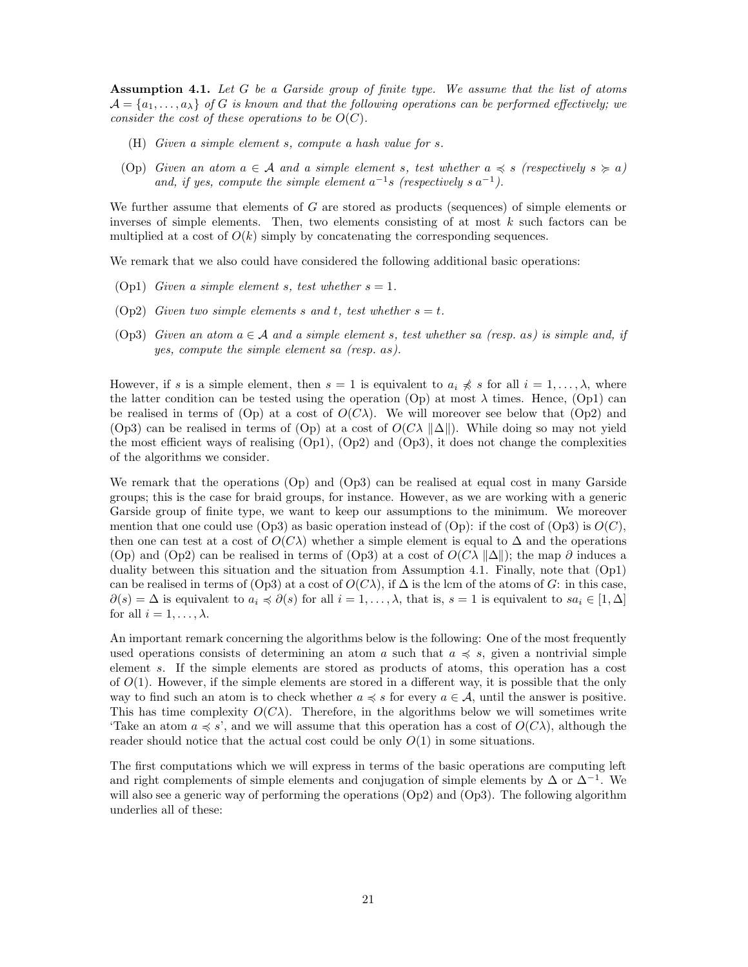Assumption 4.1. *Let* G *be a Garside group of finite type. We assume that the list of atoms*  $\mathcal{A} = \{a_1, \ldots, a_{\lambda}\}\$  of G is known and that the following operations can be performed effectively; we *consider the cost of these operations to be*  $O(C)$ *.* 

- (H) *Given a simple element* s*, compute a hash value for* s*.*
- (Op) *Given an atom*  $a \in \mathcal{A}$  *and* a simple element s, test whether  $a \preccurlyeq s$  (respectively  $s \succeq a$ ) and, if yes, compute the simple element  $a^{-1}s$  (respectively s  $a^{-1}$ ).

We further assume that elements of  $G$  are stored as products (sequences) of simple elements or inverses of simple elements. Then, two elements consisting of at most  $k$  such factors can be multiplied at a cost of  $O(k)$  simply by concatenating the corresponding sequences.

We remark that we also could have considered the following additional basic operations:

- (Op1) *Given a simple element s, test whether*  $s = 1$ *.*
- (Op2) *Given two simple elements* s and t, test whether  $s = t$ .
- (Op3) *Given an atom*  $a \in \mathcal{A}$  *and a simple element* s, test whether sa (resp. as) is simple and, if *yes, compute the simple element* sa *(resp.* as*).*

However, if s is a simple element, then  $s = 1$  is equivalent to  $a_i \nless s$  for all  $i = 1, \ldots, \lambda$ , where the latter condition can be tested using the operation (Op) at most  $\lambda$  times. Hence, (Op1) can be realised in terms of (Op) at a cost of  $O(C\lambda)$ . We will moreover see below that (Op2) and (Op3) can be realised in terms of (Op) at a cost of  $O(C\lambda ||\Delta||)$ . While doing so may not yield the most efficient ways of realising  $(Op1)$ ,  $(Op2)$  and  $(Op3)$ , it does not change the complexities of the algorithms we consider.

We remark that the operations (Op) and (Op3) can be realised at equal cost in many Garside groups; this is the case for braid groups, for instance. However, as we are working with a generic Garside group of finite type, we want to keep our assumptions to the minimum. We moreover mention that one could use (Op3) as basic operation instead of (Op): if the cost of (Op3) is  $O(C)$ , then one can test at a cost of  $O(C\lambda)$  whether a simple element is equal to  $\Delta$  and the operations (Op) and (Op2) can be realised in terms of (Op3) at a cost of  $O(C\lambda ||\Delta||)$ ; the map ∂ induces a duality between this situation and the situation from Assumption 4.1. Finally, note that (Op1) can be realised in terms of (Op3) at a cost of  $O(C\lambda)$ , if  $\Delta$  is the lcm of the atoms of G: in this case,  $\partial(s) = \Delta$  is equivalent to  $a_i \preccurlyeq \partial(s)$  for all  $i = 1, \ldots, \lambda$ , that is,  $s = 1$  is equivalent to  $sa_i \in [1, \Delta]$ for all  $i = 1, \ldots, \lambda$ .

An important remark concerning the algorithms below is the following: One of the most frequently used operations consists of determining an atom a such that  $a \preccurlyeq s$ , given a nontrivial simple element s. If the simple elements are stored as products of atoms, this operation has a cost of  $O(1)$ . However, if the simple elements are stored in a different way, it is possible that the only way to find such an atom is to check whether  $a \preccurlyeq s$  for every  $a \in \mathcal{A}$ , until the answer is positive. This has time complexity  $O(C\lambda)$ . Therefore, in the algorithms below we will sometimes write Take an atom  $a \preccurlyeq s'$ , and we will assume that this operation has a cost of  $O(C\lambda)$ , although the reader should notice that the actual cost could be only  $O(1)$  in some situations.

The first computations which we will express in terms of the basic operations are computing left and right complements of simple elements and conjugation of simple elements by  $\Delta$  or  $\Delta^{-1}$ . We will also see a generic way of performing the operations (Op2) and (Op3). The following algorithm underlies all of these: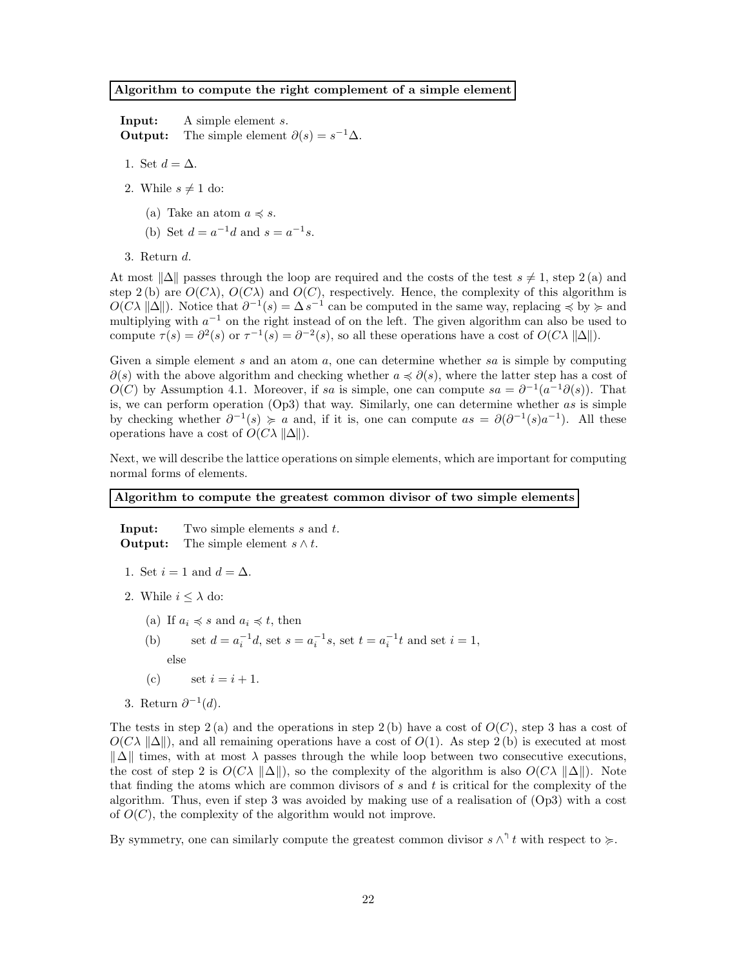#### Algorithm to compute the right complement of a simple element

Input: A simple element s. **Output:** The simple element  $\partial(s) = s^{-1}\Delta$ .

- 1. Set  $d = \Delta$ .
- 2. While  $s \neq 1$  do:
	- (a) Take an atom  $a \preccurlyeq s$ .
	- (b) Set  $d = a^{-1}d$  and  $s = a^{-1}s$ .
- 3. Return d.

At most  $\|\Delta\|$  passes through the loop are required and the costs of the test  $s \neq 1$ , step 2 (a) and step 2 (b) are  $O(C\lambda)$ ,  $O(C\lambda)$  and  $O(C)$ , respectively. Hence, the complexity of this algorithm is  $O(C\lambda ||\Delta||)$ . Notice that  $\partial^{-1}(s) = \Delta s^{-1}$  can be computed in the same way, replacing  $\preccurlyeq$  by  $\succcurlyeq$  and multiplying with  $a^{-1}$  on the right instead of on the left. The given algorithm can also be used to compute  $\tau(s) = \partial^2(s)$  or  $\tau^{-1}(s) = \partial^{-2}(s)$ , so all these operations have a cost of  $O(C\lambda ||\Delta||)$ .

Given a simple element s and an atom a, one can determine whether sa is simple by computing  $\partial(s)$  with the above algorithm and checking whether  $a \preccurlyeq \partial(s)$ , where the latter step has a cost of  $O(C)$  by Assumption 4.1. Moreover, if sa is simple, one can compute  $sa = \partial^{-1}(a^{-1}\partial(s))$ . That is, we can perform operation  $(Op3)$  that way. Similarly, one can determine whether as is simple by checking whether  $\partial^{-1}(s) \geq a$  and, if it is, one can compute  $as = \partial(\partial^{-1}(s)a^{-1})$ . All these operations have a cost of  $O(C\lambda ||\Delta||)$ .

Next, we will describe the lattice operations on simple elements, which are important for computing normal forms of elements.

### Algorithm to compute the greatest common divisor of two simple elements

**Input:** Two simple elements s and t. **Output:** The simple element  $s \wedge t$ .

- 1. Set  $i = 1$  and  $d = \Delta$ .
- 2. While  $i \leq \lambda$  do:
	- (a) If  $a_i \preccurlyeq s$  and  $a_i \preccurlyeq t$ , then
	- (b) set  $d = a_i^{-1}d$ , set  $s = a_i^{-1}s$ , set  $t = a_i^{-1}t$  and set  $i = 1$ ,
		- else
	- (c) set  $i = i + 1$ .
- 3. Return  $\partial^{-1}(d)$ .

The tests in step  $2(a)$  and the operations in step  $2(b)$  have a cost of  $O(C)$ , step 3 has a cost of  $O(C\lambda ||\Delta||)$ , and all remaining operations have a cost of  $O(1)$ . As step 2(b) is executed at most  $\|\Delta\|$  times, with at most  $\lambda$  passes through the while loop between two consecutive executions, the cost of step 2 is  $O(C\lambda \|\Delta\|)$ , so the complexity of the algorithm is also  $O(C\lambda \|\Delta\|)$ . Note that finding the atoms which are common divisors of  $s$  and  $t$  is critical for the complexity of the algorithm. Thus, even if step 3 was avoided by making use of a realisation of (Op3) with a cost of  $O(C)$ , the complexity of the algorithm would not improve.

By symmetry, one can similarly compute the greatest common divisor  $s \wedge^{\dagger} t$  with respect to  $\succcurlyeq$ .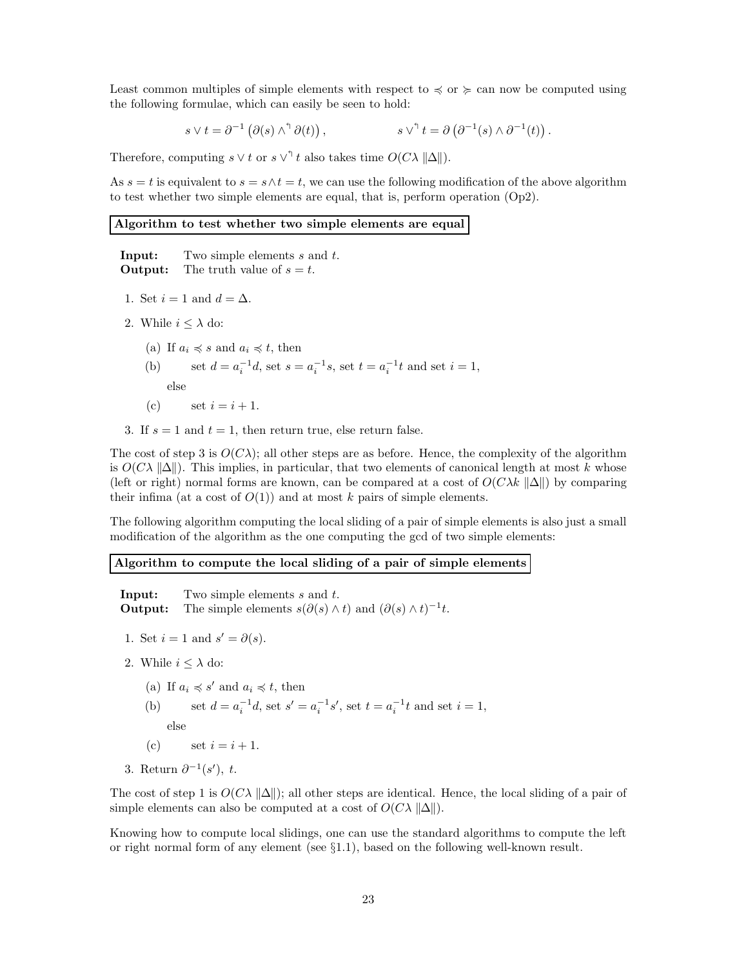Least common multiples of simple elements with respect to  $\leq$  or  $\succeq$  can now be computed using the following formulae, which can easily be seen to hold:

$$
s \vee t = \partial^{-1} (\partial(s) \wedge^{\uparrow} \partial(t)), \qquad s \vee^{\uparrow} t = \partial (\partial^{-1}(s) \wedge \partial^{-1}(t)).
$$

Therefore, computing  $s \vee t$  or  $s \vee^{\dagger} t$  also takes time  $O(C\lambda ||\Delta||)$ .

As  $s = t$  is equivalent to  $s = s \wedge t = t$ , we can use the following modification of the above algorithm to test whether two simple elements are equal, that is, perform operation (Op2).

### Algorithm to test whether two simple elements are equal

**Input:** Two simple elements s and t. **Output:** The truth value of  $s = t$ .

- 1. Set  $i = 1$  and  $d = \Delta$ .
- 2. While  $i \leq \lambda$  do:
	- (a) If  $a_i \preccurlyeq s$  and  $a_i \preccurlyeq t$ , then
	- (b) set  $d = a_i^{-1}d$ , set  $s = a_i^{-1}s$ , set  $t = a_i^{-1}t$  and set  $i = 1$ , else

(c) set 
$$
i = i + 1
$$
.

3. If  $s = 1$  and  $t = 1$ , then return true, else return false.

The cost of step 3 is  $O(C\lambda)$ ; all other steps are as before. Hence, the complexity of the algorithm is  $O(C\lambda ||\Delta||)$ . This implies, in particular, that two elements of canonical length at most k whose (left or right) normal forms are known, can be compared at a cost of  $O(C\lambda k \|\Delta\|)$  by comparing their infima (at a cost of  $O(1)$ ) and at most k pairs of simple elements.

The following algorithm computing the local sliding of a pair of simple elements is also just a small modification of the algorithm as the one computing the gcd of two simple elements:

### Algorithm to compute the local sliding of a pair of simple elements

**Input:** Two simple elements s and t. **Output:** The simple elements  $s(\partial(s) \wedge t)$  and  $(\partial(s) \wedge t)^{-1}t$ .

- 1. Set  $i = 1$  and  $s' = \partial(s)$ .
- 2. While  $i \leq \lambda$  do:
	- (a) If  $a_i \preccurlyeq s'$  and  $a_i \preccurlyeq t$ , then
	- (b) set  $d = a_i^{-1}d$ , set  $s' = a_i^{-1}s'$ , set  $t = a_i^{-1}t$  and set  $i = 1$ , else

(c) set 
$$
i = i + 1
$$
.

3. Return  $\partial^{-1}(s')$ , t.

The cost of step 1 is  $O(C\lambda ||\Delta||)$ ; all other steps are identical. Hence, the local sliding of a pair of simple elements can also be computed at a cost of  $O(C\lambda ||\Delta||)$ .

Knowing how to compute local slidings, one can use the standard algorithms to compute the left or right normal form of any element (see  $\S1.1$ ), based on the following well-known result.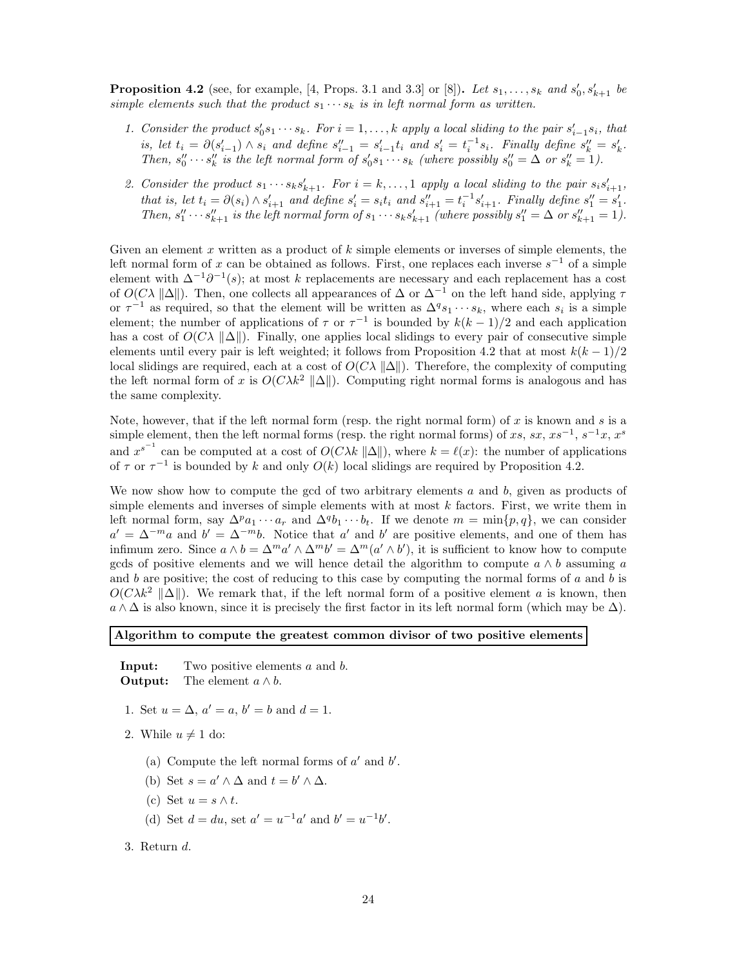**Proposition 4.2** (see, for example, [4, Props. 3.1 and 3.3] or [8]). Let  $s_1, \ldots, s_k$  and  $s'_0, s'_{k+1}$  be *simple elements such that the product*  $s_1 \cdots s_k$  *is in left normal form as written.* 

- 1. Consider the product  $s'_0 s_1 \cdots s_k$ . For  $i = 1, \ldots, k$  apply a local sliding to the pair  $s'_{i-1} s_i$ , that is, let  $t_i = \partial(s'_{i-1}) \wedge s_i$  and define  $s''_{i-1} = s'_{i-1}t_i$  and  $s'_i = t_i^{-1}s_i$ . Finally define  $s''_k = s'_k$ . Then,  $s''_0 \cdots s''_k$  is the left normal form of  $s'_0 s_1 \cdots s_k$  (where possibly  $s''_0 = \Delta$  or  $s''_k = 1$ ).
- 2. Consider the product  $s_1 \cdots s_ks_{k+1}'$ . For  $i = k, ..., 1$  apply a local sliding to the pair  $s_is'_{i+1}$ , *that is, let*  $t_i = \partial(s_i) \wedge s'_{i+1}$  *and define*  $s'_i = s_i t_i$  *and*  $s''_{i+1} = t_i^{-1} s'_{i+1}$ *. Finally define*  $s''_1 = s'_1$ *.* Then,  $s''_1 \cdots s''_{k+1}$  is the left normal form of  $s_1 \cdots s_ks'_{k+1}$  (where possibly  $s''_1 = \Delta$  or  $s''_{k+1} = 1$ ).

Given an element x written as a product of  $k$  simple elements or inverses of simple elements, the left normal form of x can be obtained as follows. First, one replaces each inverse  $s^{-1}$  of a simple element with  $\Delta^{-1}\partial^{-1}(s)$ ; at most k replacements are necessary and each replacement has a cost of  $O(C\lambda ||\Delta||)$ . Then, one collects all appearances of  $\Delta$  or  $\Delta^{-1}$  on the left hand side, applying  $\tau$ or  $\tau^{-1}$  as required, so that the element will be written as  $\Delta^q s_1 \cdots s_k$ , where each  $s_i$  is a simple element; the number of applications of  $\tau$  or  $\tau^{-1}$  is bounded by  $k(k-1)/2$  and each application has a cost of  $O(C\lambda ||\Delta||)$ . Finally, one applies local slidings to every pair of consecutive simple elements until every pair is left weighted; it follows from Proposition 4.2 that at most  $k(k-1)/2$ local slidings are required, each at a cost of  $O(C\lambda ||\Delta||)$ . Therefore, the complexity of computing the left normal form of x is  $O(C\lambda k^2 ||\Delta||)$ . Computing right normal forms is analogous and has the same complexity.

Note, however, that if the left normal form (resp. the right normal form) of x is known and s is a simple element, then the left normal forms (resp. the right normal forms) of xs, sx, xs<sup>-1</sup>, s<sup>-1</sup>x, x<sup>s</sup> and  $x^{s^{-1}}$  can be computed at a cost of  $O(C\lambda k \|\Delta\|)$ , where  $k = \ell(x)$ : the number of applications of  $\tau$  or  $\tau^{-1}$  is bounded by k and only  $O(k)$  local slidings are required by Proposition 4.2.

We now show how to compute the gcd of two arbitrary elements  $a$  and  $b$ , given as products of simple elements and inverses of simple elements with at most  $k$  factors. First, we write them in left normal form, say  $\Delta^p a_1 \cdots a_r$  and  $\Delta^q b_1 \cdots b_t$ . If we denote  $m = \min\{p, q\}$ , we can consider  $a' = \Delta^{-m}a$  and  $b' = \Delta^{-m}b$ . Notice that a' and b' are positive elements, and one of them has infimum zero. Since  $a \wedge b = \Delta^m a' \wedge \Delta^m b' = \Delta^m (a' \wedge b')$ , it is sufficient to know how to compute gcds of positive elements and we will hence detail the algorithm to compute  $a \wedge b$  assuming a and b are positive; the cost of reducing to this case by computing the normal forms of a and b is  $O(C\lambda k^2 \|\Delta\|)$ . We remark that, if the left normal form of a positive element a is known, then  $a \wedge \Delta$  is also known, since it is precisely the first factor in its left normal form (which may be  $\Delta$ ).

### Algorithm to compute the greatest common divisor of two positive elements

**Input:** Two positive elements a and b. **Output:** The element  $a \wedge b$ .

- 1. Set  $u = \Delta$ ,  $a' = a$ ,  $b' = b$  and  $d = 1$ .
- 2. While  $u \neq 1$  do:
	- (a) Compute the left normal forms of  $a'$  and  $b'$ .
	- (b) Set  $s = a' \wedge \Delta$  and  $t = b' \wedge \Delta$ .
	- (c) Set  $u = s \wedge t$ .
	- (d) Set  $d = du$ , set  $a' = u^{-1}a'$  and  $b' = u^{-1}b'$ .
- 3. Return d.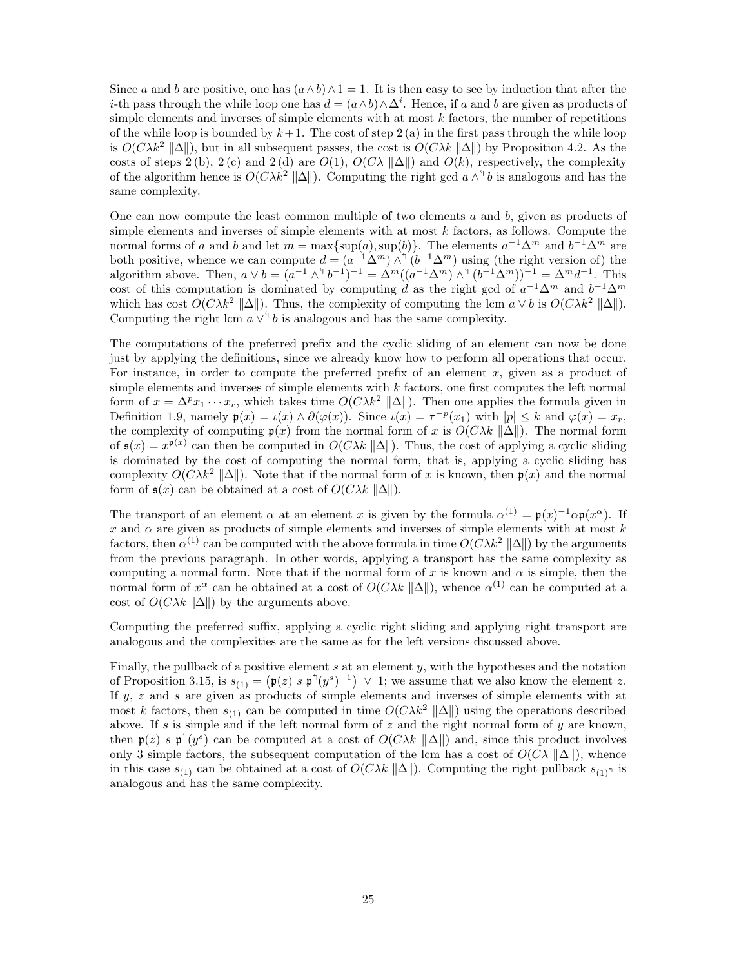Since a and b are positive, one has  $(a \wedge b) \wedge 1 = 1$ . It is then easy to see by induction that after the *i*-th pass through the while loop one has  $d = (a \wedge b) \wedge \Delta^i$ . Hence, if a and b are given as products of simple elements and inverses of simple elements with at most  $k$  factors, the number of repetitions of the while loop is bounded by  $k+1$ . The cost of step 2 (a) in the first pass through the while loop is  $O(C\lambda k^2 ||\Delta||)$ , but in all subsequent passes, the cost is  $O(C\lambda k ||\Delta||)$  by Proposition 4.2. As the costs of steps 2 (b), 2 (c) and 2 (d) are  $O(1)$ ,  $O(C\lambda ||\Delta||)$  and  $O(k)$ , respectively, the complexity of the algorithm hence is  $O(C\lambda k^2 ||\Delta||)$ . Computing the right gcd  $a \wedge^{\uparrow} b$  is analogous and has the same complexity.

One can now compute the least common multiple of two elements  $a$  and  $b$ , given as products of simple elements and inverses of simple elements with at most  $k$  factors, as follows. Compute the normal forms of a and b and let  $m = \max\{\sup(a), \sup(b)\}\$ . The elements  $a^{-1}\Delta^m$  and  $b^{-1}\Delta^m$  are both positive, whence we can compute  $d = (a^{-1}\Delta^m)\wedge^{\gamma}(b^{-1}\Delta^m)$  using (the right version of) the algorithm above. Then,  $a \vee b = (a^{-1} \wedge^{\uparrow} b^{-1})^{-1} = \Delta^{m}((a^{-1} \Delta^{m}) \wedge^{\uparrow} (b^{-1} \Delta^{m}))^{-1} = \Delta^{m} d^{-1}$ . This cost of this computation is dominated by computing d as the right gcd of  $a^{-1}\Delta^m$  and  $b^{-1}\Delta^m$ which has cost  $O(C\lambda k^2 ||\Delta||)$ . Thus, the complexity of computing the lcm  $a \vee b$  is  $O(C\lambda k^2 ||\Delta||)$ . Computing the right lcm  $a \vee^{\uparrow} b$  is analogous and has the same complexity.

The computations of the preferred prefix and the cyclic sliding of an element can now be done just by applying the definitions, since we already know how to perform all operations that occur. For instance, in order to compute the preferred prefix of an element  $x$ , given as a product of simple elements and inverses of simple elements with  $k$  factors, one first computes the left normal form of  $x = \Delta^p x_1 \cdots x_r$ , which takes time  $O(C\lambda k^2 ||\Delta||)$ . Then one applies the formula given in Definition 1.9, namely  $\mathfrak{p}(x) = \iota(x) \wedge \partial(\varphi(x))$ . Since  $\iota(x) = \tau^{-p}(x_1)$  with  $|p| \leq k$  and  $\varphi(x) = x_r$ , the complexity of computing  $p(x)$  from the normal form of x is  $O(C\lambda k||\Delta||)$ . The normal form of  $\mathfrak{s}(x) = x^{\mathfrak{p}(x)}$  can then be computed in  $O(C\lambda k \|\Delta\|)$ . Thus, the cost of applying a cyclic sliding is dominated by the cost of computing the normal form, that is, applying a cyclic sliding has complexity  $O(C\lambda k^2 ||\Delta||)$ . Note that if the normal form of x is known, then  $p(x)$  and the normal form of  $\mathfrak{s}(x)$  can be obtained at a cost of  $O(C\lambda k \|\Delta\|)$ .

The transport of an element  $\alpha$  at an element x is given by the formula  $\alpha^{(1)} = \mathfrak{p}(x)^{-1} \alpha \mathfrak{p}(x^{\alpha})$ . If x and  $\alpha$  are given as products of simple elements and inverses of simple elements with at most k factors, then  $\alpha^{(1)}$  can be computed with the above formula in time  $O(C\lambda k^2 ||\Delta||)$  by the arguments from the previous paragraph. In other words, applying a transport has the same complexity as computing a normal form. Note that if the normal form of x is known and  $\alpha$  is simple, then the normal form of  $x^{\alpha}$  can be obtained at a cost of  $O(C\lambda k \| \Delta \|)$ , whence  $\alpha^{(1)}$  can be computed at a cost of  $O(C\lambda k \|\Delta\|)$  by the arguments above.

Computing the preferred suffix, applying a cyclic right sliding and applying right transport are analogous and the complexities are the same as for the left versions discussed above.

Finally, the pullback of a positive element  $s$  at an element  $y$ , with the hypotheses and the notation of Proposition 3.15, is  $s_{(1)} = (\mathfrak{p}(z) \cdot s \mathfrak{p}^{\dagger}(y^s)^{-1}) \vee 1$ ; we assume that we also know the element z. If  $y$ ,  $z$  and  $s$  are given as products of simple elements and inverses of simple elements with at most k factors, then  $s_{(1)}$  can be computed in time  $O(C\lambda k^2 ||\Delta||)$  using the operations described above. If s is simple and if the left normal form of z and the right normal form of y are known, then  $\mathfrak{p}(z)$  s  $\mathfrak{p}^{\uparrow}(y^{s})$  can be computed at a cost of  $O(C\lambda k \| \Delta \|)$  and, since this product involves only 3 simple factors, the subsequent computation of the lcm has a cost of  $O(C\lambda ||\Delta||)$ , whence in this case  $s_{(1)}$  can be obtained at a cost of  $O(C\lambda k \| \Delta \|)$ . Computing the right pullback  $s_{(1)}$  is analogous and has the same complexity.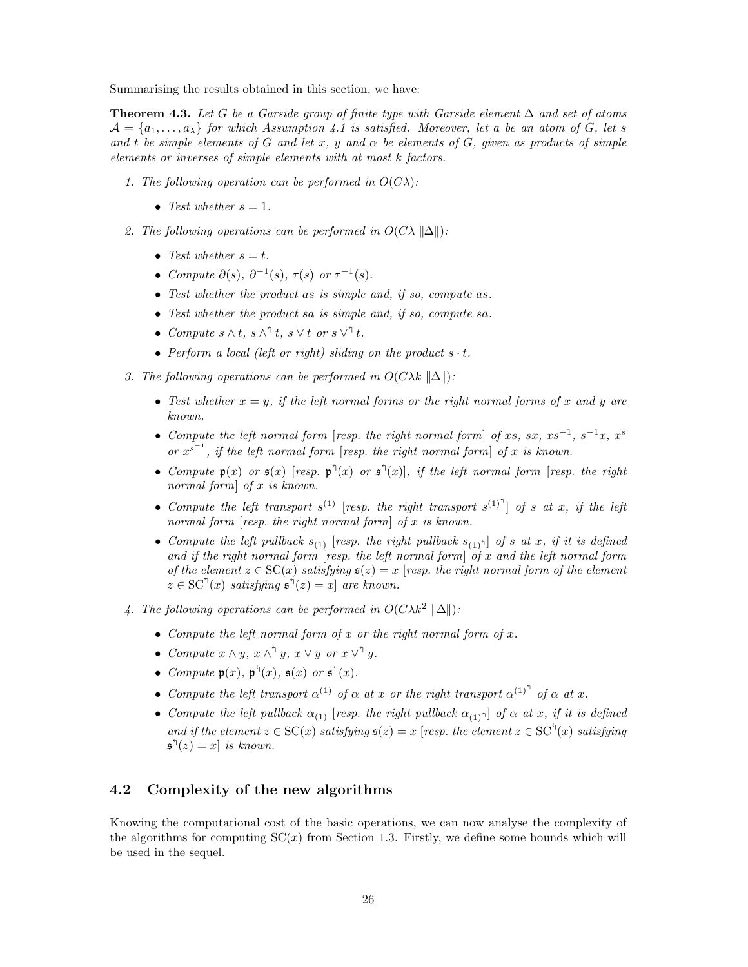Summarising the results obtained in this section, we have:

Theorem 4.3. Let G be a Garside group of finite type with Garside element  $\Delta$  and set of atoms  $\mathcal{A} = \{a_1, \ldots, a_{\lambda}\}\$ for which Assumption 4.1 is satisfied. Moreover, let a be an atom of G, let s *and* t *be simple elements of* G *and let* x, y and  $\alpha$  *be elements of* G, given as products of simple *elements or inverses of simple elements with at most* k *factors.*

- *1. The following operation can be performed in*  $O(C\lambda)$ :
	- Test whether  $s = 1$ .
- 2. The following operations can be performed in  $O(C\lambda ||\Delta||)$ :
	- Test whether  $s = t$ .
	- *Compute*  $\partial(s)$ *,*  $\partial^{-1}(s)$ *,*  $\tau(s)$  *or*  $\tau^{-1}(s)$ *.*
	- *Test whether the product* as *is simple and, if so, compute* as*.*
	- *Test whether the product* sa *is simple and, if so, compute* sa*.*
	- *Compute*  $s \wedge t$ *,*  $s \wedge^{\uparrow} t$ *,*  $s \vee t$  *or*  $s \vee^{\uparrow} t$ *.*
	- *Perform a local (left or right) sliding on the product*  $s \cdot t$ .
- *3. The following operations can be performed in*  $O(C\lambda k \|\Delta\|)$ :
	- Test whether  $x = y$ , if the left normal forms or the right normal forms of x and y are *known.*
	- *Compute the left normal form* [*resp. the right normal form*] *of* xs, sx, xs<sup>-1</sup>, s<sup>-1</sup>x, x<sup>s</sup> *or*  $x^{s^{-1}}$ *, if the left normal form* [*resp. the right normal form*] *of* x *is known.*
	- *Compute*  $\mathfrak{p}(x)$  *or*  $\mathfrak{s}(x)$  [*resp.*  $\mathfrak{p}^{\uparrow}(x)$  *or*  $\mathfrak{s}^{\uparrow}(x)$ ]*, if the left normal form* [*resp. the right normal form*] *of* x *is known.*
	- *Compute the left transport*  $s^{(1)}$  [*resp. the right transport*  $s^{(1)}$ <sup> $\uparrow$ </sup>] *of s at x*, *if the left normal form* [*resp. the right normal form*] *of* x *is known.*
	- *Compute the left pullback*  $s_{(1)}$  [*resp. the right pullback*  $s_{(1)}$ <sup>1</sup>] *of s at x*, *if it is defined and if the right normal form* [*resp. the left normal form*] *of* x *and the left normal form of the element*  $z \in SC(x)$  *satisfying*  $s(z) = x$  [*resp. the right normal form of the element*  $z \in SC^{\{ \}}(x)$  satisfying  $\mathfrak{s}^{\{ \}}(z) = x$  are known.
- *4. The following operations can be performed in*  $O(C\lambda k^2 ||\Delta||)$ :
	- *Compute the left normal form of* x *or the right normal form of* x*.*
	- *Compute*  $x \wedge y$ *,*  $x \wedge^{\mathcal{A}} y$ *,*  $x \vee y$  *or*  $x \vee^{\mathcal{A}} y$ *.*
	- *Compute*  $\mathfrak{p}(x)$ ,  $\mathfrak{p}^{\uparrow}(x)$ ,  $\mathfrak{s}(x)$  *or*  $\mathfrak{s}^{\uparrow}(x)$ *.*
	- *Compute the left transport*  $\alpha^{(1)}$  *of*  $\alpha$  *at* x *or the right transport*  $\alpha^{(1)}$ <sup> $\uparrow$ </sup> *of*  $\alpha$  *at* x.
	- *Compute the left pullback*  $\alpha_{(1)}$  [*resp. the right pullback*  $\alpha_{(1)}$ <sup>1</sup>] *of*  $\alpha$  *at* x, *if it is defined* and if the element  $z \in SC(x)$  satisfying  $\mathfrak{s}(z) = x$  [*resp. the element*  $z \in SC^{\dagger}(x)$  satisfying  $\mathfrak{s}^{\mathfrak{h}}(z) = x$  *is known.*

## 4.2 Complexity of the new algorithms

Knowing the computational cost of the basic operations, we can now analyse the complexity of the algorithms for computing  $SC(x)$  from Section 1.3. Firstly, we define some bounds which will be used in the sequel.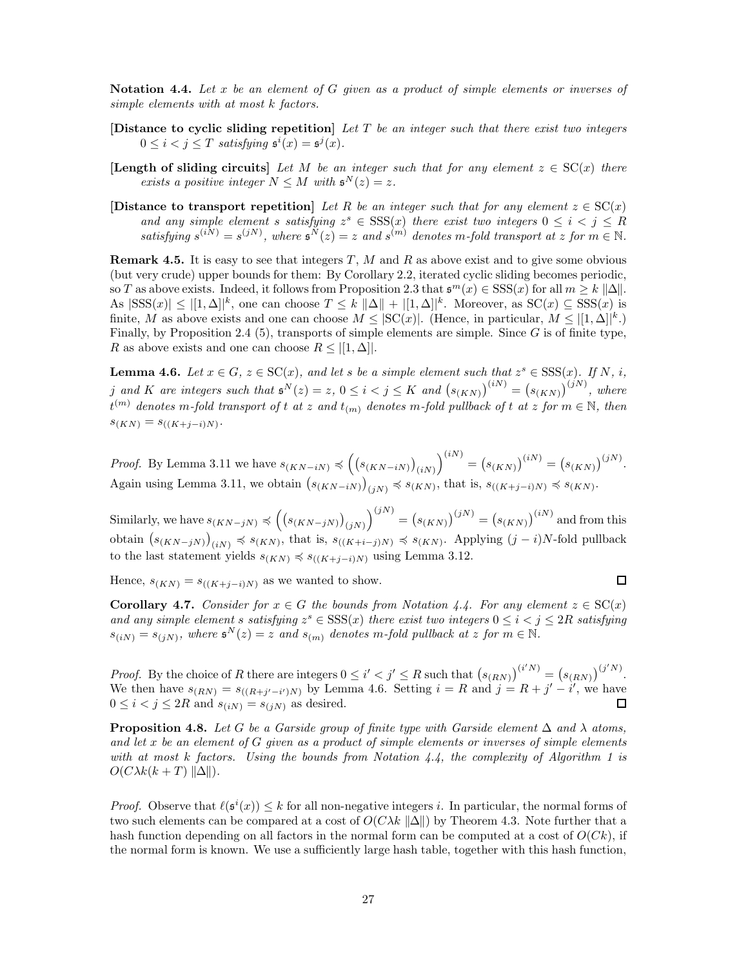Notation 4.4. *Let* x *be an element of* G *given as a product of simple elements or inverses of simple elements with at most* k *factors.*

- [Distance to cyclic sliding repetition] *Let* T *be an integer such that there exist two integers*  $0 \leq i < j \leq T$  satisfying  $\mathfrak{s}^{i}(x) = \mathfrak{s}^{j}(x)$ .
- **[Length of sliding circuits]** Let M be an integer such that for any element  $z \in SC(x)$  there *exists a positive integer*  $N \leq M$  *with*  $\mathfrak{s}^N(z) = z$ *.*
- [Distance to transport repetition] *Let* R *be an integer such that for any element*  $z \in SC(x)$ and any simple element s satisfying  $z^s \in \text{SSS}(x)$  there exist two integers  $0 \le i < j \le R$ satisfying  $s^{(iN)} = s^{(jN)}$ , where  $s^N(z) = z$  and  $s^{(m)}$  denotes m-fold transport at z for  $m \in \mathbb{N}$ .

**Remark 4.5.** It is easy to see that integers  $T$ ,  $M$  and  $R$  as above exist and to give some obvious (but very crude) upper bounds for them: By Corollary 2.2, iterated cyclic sliding becomes periodic, so T as above exists. Indeed, it follows from Proposition 2.3 that  $\mathfrak{s}^m(x) \in \text{SSS}(x)$  for all  $m \geq k \|\Delta\|$ . As  $|SSS(x)| \leq |[1,\Delta]|^k$ , one can choose  $T \leq k ||\Delta|| + |[1,\Delta]|^k$ . Moreover, as  $SC(x) \subseteq SSS(x)$  is finite, M as above exists and one can choose  $M \leq |\mathrm{SC}(x)|$ . (Hence, in particular,  $M \leq |[1, \Delta]|^k$ .) Finally, by Proposition 2.4 (5), transports of simple elements are simple. Since  $G$  is of finite type, R as above exists and one can choose  $R \leq |[1, \Delta]|$ .

**Lemma 4.6.** *Let*  $x \in G$ ,  $z \in SC(x)$ *, and let s be a simple element such that*  $z^s \in SSS(x)$ *. If* N, *i*, *j* and *K* are integers such that  $\mathfrak{s}^N(z) = z$ ,  $0 \leq i < j \leq K$  and  $(s_{(KN)})^{(iN)} = (s_{(KN)})^{(jN)}$ , where  $t^{(m)}$  denotes m-fold transport of t at z and  $t_{(m)}$  denotes m-fold pullback of t at z for  $m \in \mathbb{N}$ , then  $s_{(KN)} = s_{((K+j-i)N)}$ .

*Proof.* By Lemma 3.11 we have  $s_{(KN-iN)} \preccurlyeq (s_{(KN-iN)})_{(iN)}$  $\bigg( \begin{matrix} iN \end{matrix} \bigg) = \bigg( s_{(KN)} \bigg)^{(iN)} = \bigg( s_{(KN)} \bigg)^{(jN)}.$ Again using Lemma 3.11, we obtain  $(s_{(KN-iN)})_{(jN)} \preccurlyeq s_{(KN)}$ , that is,  $s_{((K+j-i)N)} \preccurlyeq s_{(KN)}$ .

Similarly, we have  $s_{(KN-jN)} \preccurlyeq \left( \left( s_{(KN-jN)} \right)_{(jN)} \right)$  $\binom{ jN }{ k } = \left( s_{(KN)} \right)^{ ( jN ) } = \left( s_{(KN)} \right)^{ ( iN ) }$  and from this obtain  $(s_{(KN-jN)})_{(iN)} \preccurlyeq s_{(KN)}$ , that is,  $s_{((K+i-j)N)} \preccurlyeq s_{(KN)}$ . Applying  $(j-i)N$ -fold pullback to the last statement yields  $s_{(KN)}$   $\preccurlyeq s_{((K+j-i)N)}$  using Lemma 3.12.

Hence,  $s_{(KN)} = s_{((K+j-i)N)}$  as we wanted to show.

$$
\Box
$$

**Corollary 4.7.** *Consider for*  $x \in G$  *the bounds from Notation 4.4. For any element*  $z \in SC(x)$ and any simple element s satisfying  $z^s \in \text{SSS}(x)$  there exist two integers  $0 \leq i < j \leq 2R$  satisfying  $s_{(iN)} = s_{(jN)}$ , where  $\mathfrak{s}^N(z) = z$  and  $s_{(m)}$  denotes m-fold pullback at z for  $m \in \mathbb{N}$ .

*Proof.* By the choice of R there are integers  $0 \leq i' < j' \leq R$  such that  $(s_{(RN)})^{(i'N)} = (s_{(RN)})^{(j'N)}$ . We then have  $s_{(RN)} = s_{((R+j'-i')N)}$  by Lemma 4.6. Setting  $i = R$  and  $j = R + j' - i'$ , we have  $0 \leq i < j \leq 2R$  and  $s_{(iN)} = s_{(jN)}$  as desired. □

**Proposition 4.8.** Let G be a Garside group of finite type with Garside element  $\Delta$  and  $\lambda$  atoms, *and let* x *be an element of* G *given as a product of simple elements or inverses of simple elements with at most* k *factors. Using the bounds from Notation 4.4, the complexity of Algorithm 1 is*  $O(C\lambda k(k+T) ||\Delta||)$ .

*Proof.* Observe that  $\ell(\mathfrak{s}^i(x)) \leq k$  for all non-negative integers i. In particular, the normal forms of two such elements can be compared at a cost of  $O(C\lambda k \|\Delta\|)$  by Theorem 4.3. Note further that a hash function depending on all factors in the normal form can be computed at a cost of  $O(Ck)$ , if the normal form is known. We use a sufficiently large hash table, together with this hash function,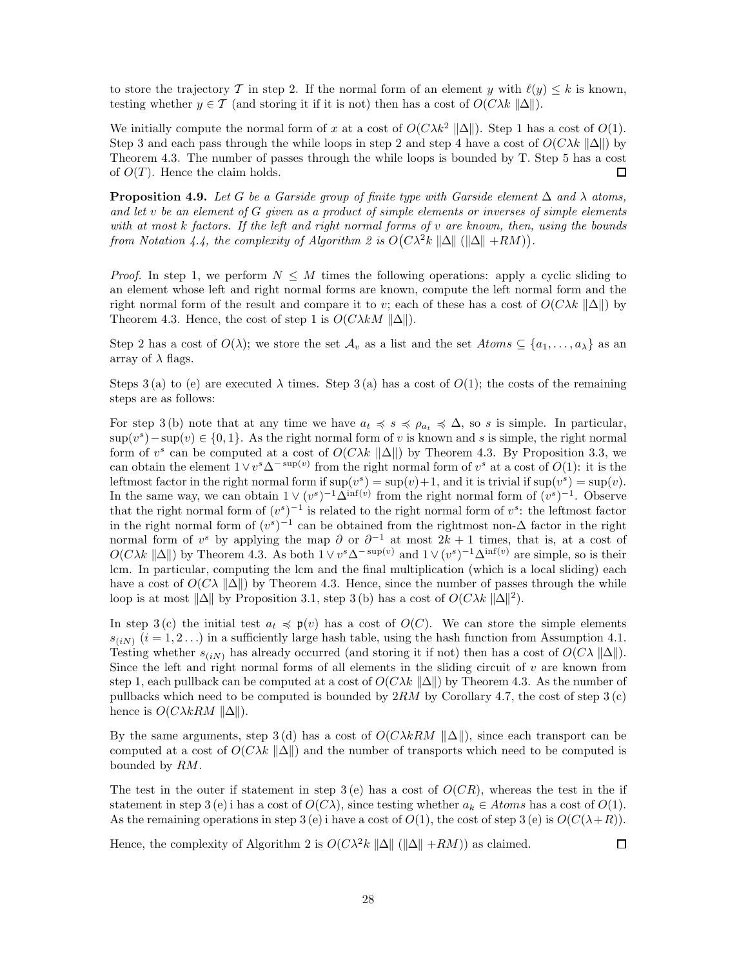to store the trajectory T in step 2. If the normal form of an element y with  $\ell(y) \leq k$  is known, testing whether  $y \in \mathcal{T}$  (and storing it if it is not) then has a cost of  $O(C\lambda k ||\Delta||)$ .

We initially compute the normal form of x at a cost of  $O(C\lambda k^2 ||\Delta||)$ . Step 1 has a cost of  $O(1)$ . Step 3 and each pass through the while loops in step 2 and step 4 have a cost of  $O(C\lambda k \|\Delta\|)$  by Theorem 4.3. The number of passes through the while loops is bounded by T. Step 5 has a cost of  $O(T)$ . Hence the claim holds. П

**Proposition 4.9.** Let G be a Garside group of finite type with Garside element  $\Delta$  and  $\lambda$  atoms, *and let* v *be an element of* G *given as a product of simple elements or inverses of simple elements with at most* k *factors. If the left and right normal forms of* v *are known, then, using the bounds* from Notation 4.4, the complexity of Algorithm 2 is  $O(C\lambda^2 k \|\Delta\| (\|\Delta\| + RM)).$ 

*Proof.* In step 1, we perform  $N \leq M$  times the following operations: apply a cyclic sliding to an element whose left and right normal forms are known, compute the left normal form and the right normal form of the result and compare it to v; each of these has a cost of  $O(C\lambda k \|\Delta\|)$  by Theorem 4.3. Hence, the cost of step 1 is  $O(C\lambda kM \|\Delta\|)$ .

Step 2 has a cost of  $O(\lambda)$ ; we store the set  $\mathcal{A}_v$  as a list and the set  $Atoms \subseteq \{a_1, \ldots, a_\lambda\}$  as an array of  $\lambda$  flags.

Steps 3(a) to (e) are executed  $\lambda$  times. Step 3(a) has a cost of  $O(1)$ ; the costs of the remaining steps are as follows:

For step 3 (b) note that at any time we have  $a_t \preccurlyeq s \preccurlyeq \rho_{a_t} \preccurlyeq \Delta$ , so s is simple. In particular,  $\sup(v^s) - \sup(v) \in \{0, 1\}.$  As the right normal form of v is known and s is simple, the right normal form of  $v^s$  can be computed at a cost of  $O(C\lambda k \| \Delta \|)$  by Theorem 4.3. By Proposition 3.3, we can obtain the element  $1 \vee v^s \Delta^{-\sup(v)}$  from the right normal form of  $v^s$  at a cost of  $O(1)$ : it is the leftmost factor in the right normal form if  $\sup(v^s) = \sup(v) + 1$ , and it is trivial if  $\sup(v^s) = \sup(v)$ . In the same way, we can obtain  $1 \vee (v^s)^{-1} \hat{\Delta}^{\inf(v)}$  from the right normal form of  $(v^s)^{-1}$ . Observe that the right normal form of  $(v<sup>s</sup>)<sup>-1</sup>$  is related to the right normal form of  $v<sup>s</sup>$ : the leftmost factor in the right normal form of  $(v<sup>s</sup>)<sup>-1</sup>$  can be obtained from the rightmost non- $\Delta$  factor in the right normal form of v<sup>s</sup> by applying the map  $\partial$  or  $\partial^{-1}$  at most  $2k + 1$  times, that is, at a cost of  $O(C\lambda k \| \Delta \|)$  by Theorem 4.3. As both  $1 \vee v^s \Delta^{-\sup(v)}$  and  $1 \vee (v^s)^{-1} \Delta^{\inf(v)}$  are simple, so is their lcm. In particular, computing the lcm and the final multiplication (which is a local sliding) each have a cost of  $O(C\lambda ||\Delta||)$  by Theorem 4.3. Hence, since the number of passes through the while loop is at most  $\|\Delta\|$  by Proposition 3.1, step 3 (b) has a cost of  $O(C\lambda k \|\Delta\|^2)$ .

In step 3 (c) the initial test  $a_t \preccurlyeq \mathfrak{p}(v)$  has a cost of  $O(C)$ . We can store the simple elements  $s_{(i,N)}$   $(i = 1, 2...)$  in a sufficiently large hash table, using the hash function from Assumption 4.1. Testing whether  $s_{(i,N)}$  has already occurred (and storing it if not) then has a cost of  $O(C\lambda ||\Delta||)$ . Since the left and right normal forms of all elements in the sliding circuit of  $v$  are known from step 1, each pullback can be computed at a cost of  $O(C\lambda k \| \Delta \|)$  by Theorem 4.3. As the number of pullbacks which need to be computed is bounded by  $2RM$  by Corollary 4.7, the cost of step  $3(c)$ hence is  $O(C\lambda kRM \|\Delta\|)$ .

By the same arguments, step 3 (d) has a cost of  $O(C\lambda kRM ||\Delta||)$ , since each transport can be computed at a cost of  $O(C\lambda k \|\Delta\|)$  and the number of transports which need to be computed is bounded by RM.

The test in the outer if statement in step  $3(e)$  has a cost of  $O(CR)$ , whereas the test in the if statement in step 3 (e) i has a cost of  $O(C\lambda)$ , since testing whether  $a_k \in Atoms$  has a cost of  $O(1)$ . As the remaining operations in step 3 (e) i have a cost of  $O(1)$ , the cost of step 3 (e) is  $O(C(\lambda + R))$ .

Hence, the complexity of Algorithm 2 is  $O(C\lambda^2 k ||\Delta|| (||\Delta|| + RM)$  as claimed.

 $\square$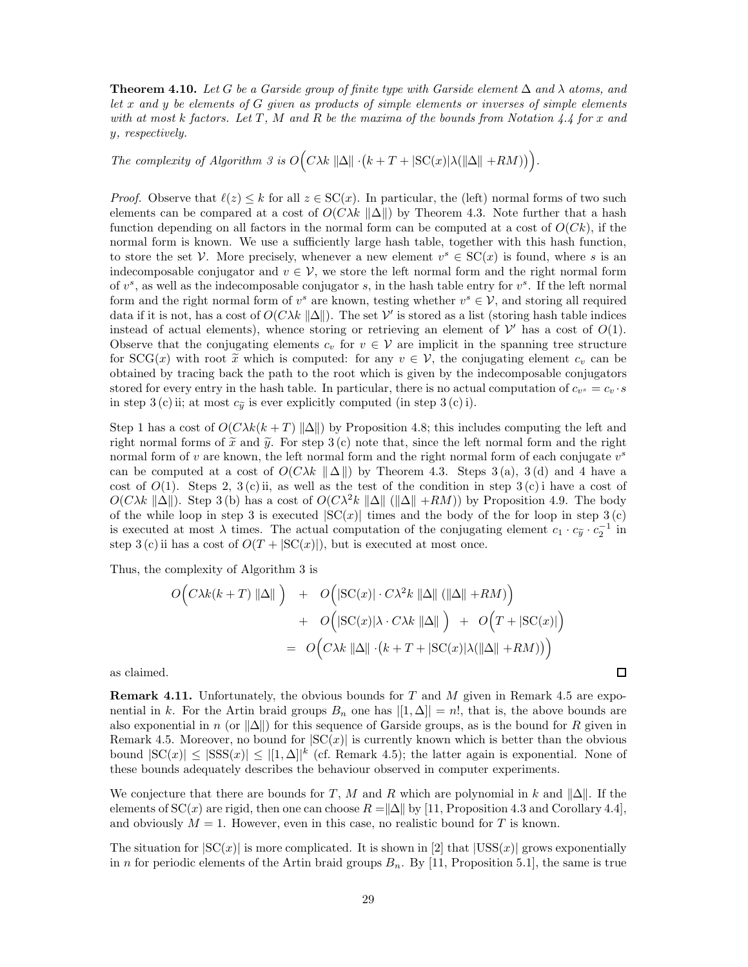**Theorem 4.10.** Let G be a Garside group of finite type with Garside element  $\Delta$  and  $\lambda$  atoms, and *let* x *and* y *be elements of* G *given as products of simple elements or inverses of simple elements with at most* k *factors. Let* T *,* M *and* R *be the maxima of the bounds from Notation 4.4 for* x *and* y*, respectively.*

*The complexity of Algorithm 3 is*  $O(C\lambda k \|\Delta\| \cdot (k + T + |\mathrm{SC}(x)|\lambda(||\Delta|| + RM))).$ 

*Proof.* Observe that  $\ell(z) \leq k$  for all  $z \in SC(x)$ . In particular, the (left) normal forms of two such elements can be compared at a cost of  $O(C\lambda k \| \Delta \|)$  by Theorem 4.3. Note further that a hash function depending on all factors in the normal form can be computed at a cost of  $O(Ck)$ , if the normal form is known. We use a sufficiently large hash table, together with this hash function, to store the set V. More precisely, whenever a new element  $v^s \in SC(x)$  is found, where s is an indecomposable conjugator and  $v \in V$ , we store the left normal form and the right normal form of  $v^s$ , as well as the indecomposable conjugator s, in the hash table entry for  $v^s$ . If the left normal form and the right normal form of  $v^s$  are known, testing whether  $v^s \in V$ , and storing all required data if it is not, has a cost of  $O(C\lambda k \| \Delta \|)$ . The set  $\mathcal V'$  is stored as a list (storing hash table indices instead of actual elements), whence storing or retrieving an element of  $\mathcal V'$  has a cost of  $O(1)$ . Observe that the conjugating elements  $c_v$  for  $v \in V$  are implicit in the spanning tree structure for  $SCG(x)$  with root  $\tilde{x}$  which is computed: for any  $v \in V$ , the conjugating element  $c_v$  can be obtained by tracing back the path to the root which is given by the indecomposable conjugators stored for every entry in the hash table. In particular, there is no actual computation of  $c_{v^s} = c_v \cdot s$ in step 3 (c) ii; at most  $c_{\tilde{y}}$  is ever explicitly computed (in step 3 (c) i).

Step 1 has a cost of  $O(C\lambda k(k+T) ||\Delta||)$  by Proposition 4.8; this includes computing the left and right normal forms of  $\tilde{x}$  and  $\tilde{y}$ . For step 3 (c) note that, since the left normal form and the right normal form of  $v$  are known, the left normal form and the right normal form of each conjugate  $v^s$ can be computed at a cost of  $O(C\lambda k\|\Delta\|)$  by Theorem 4.3. Steps 3(a), 3(d) and 4 have a cost of  $O(1)$ . Steps 2, 3(c) ii, as well as the test of the condition in step 3(c) i have a cost of  $O(C\lambda k \|\Delta\|)$ . Step 3 (b) has a cost of  $O(C\lambda^2 k \|\Delta\| (\|\Delta\| + RM)$  by Proposition 4.9. The body of the while loop in step 3 is executed  $|SC(x)|$  times and the body of the for loop in step 3(c) is executed at most  $\lambda$  times. The actual computation of the conjugating element  $c_1 \cdot c_{\tilde{y}} \cdot c_2^{-1}$  in step 3 (c) ii has a cost of  $O(T + |SC(x)|)$ , but is executed at most once.

Thus, the complexity of Algorithm 3 is

$$
O\Big(C\lambda k(k+T)\|\Delta\|\Big) + O\Big(|\mathrm{SC}(x)|\cdot C\lambda^2 k\|\Delta\|\left(\|\Delta\|+RM\right)\Big) + O\Big(|\mathrm{SC}(x)|\lambda\cdot C\lambda k\|\Delta\|\Big) + O\Big(T+|\mathrm{SC}(x)|\Big) = O\Big(C\lambda k\|\Delta\|\cdot\big(k+T+|\mathrm{SC}(x)|\lambda(\|\Delta\|+RM)\big)\Big)
$$

 $\Box$ 

as claimed.

**Remark 4.11.** Unfortunately, the obvious bounds for T and M given in Remark 4.5 are exponential in k. For the Artin braid groups  $B_n$  one has  $|[1,\Delta]|=n!$ , that is, the above bounds are also exponential in n (or  $\|\Delta\|$ ) for this sequence of Garside groups, as is the bound for R given in Remark 4.5. Moreover, no bound for  $|SC(x)|$  is currently known which is better than the obvious bound  $|SC(x)| \leq |SSS(x)| \leq |[1,\Delta]|^k$  (cf. Remark 4.5); the latter again is exponential. None of these bounds adequately describes the behaviour observed in computer experiments.

We conjecture that there are bounds for T, M and R which are polynomial in k and  $\|\Delta\|$ . If the elements of  $SC(x)$  are rigid, then one can choose  $R = \Delta \|\Delta\|$  by [11, Proposition 4.3 and Corollary 4.4], and obviously  $M = 1$ . However, even in this case, no realistic bound for T is known.

The situation for  $|SC(x)|$  is more complicated. It is shown in [2] that  $|USS(x)|$  grows exponentially in n for periodic elements of the Artin braid groups  $B_n$ . By [11, Proposition 5.1], the same is true